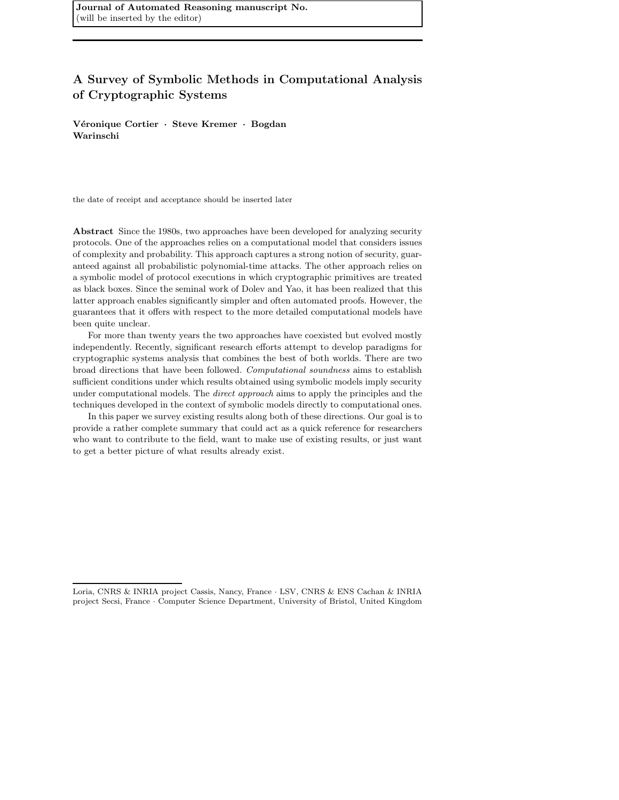# A Survey of Symbolic Methods in Computational Analysis of Cryptographic Systems

Véronique Cortier · Steve Kremer · Bogdan Warinschi

the date of receipt and acceptance should be inserted later

Abstract Since the 1980s, two approaches have been developed for analyzing security protocols. One of the approaches relies on a computational model that considers issues of complexity and probability. This approach captures a strong notion of security, guaranteed against all probabilistic polynomial-time attacks. The other approach relies on a symbolic model of protocol executions in which cryptographic primitives are treated as black boxes. Since the seminal work of Dolev and Yao, it has been realized that this latter approach enables significantly simpler and often automated proofs. However, the guarantees that it offers with respect to the more detailed computational models have been quite unclear.

For more than twenty years the two approaches have coexisted but evolved mostly independently. Recently, significant research efforts attempt to develop paradigms for cryptographic systems analysis that combines the best of both worlds. There are two broad directions that have been followed. Computational soundness aims to establish sufficient conditions under which results obtained using symbolic models imply security under computational models. The *direct approach* aims to apply the principles and the techniques developed in the context of symbolic models directly to computational ones.

In this paper we survey existing results along both of these directions. Our goal is to provide a rather complete summary that could act as a quick reference for researchers who want to contribute to the field, want to make use of existing results, or just want to get a better picture of what results already exist.

Loria, CNRS & INRIA project Cassis, Nancy, France · LSV, CNRS & ENS Cachan & INRIA project Secsi, France · Computer Science Department, University of Bristol, United Kingdom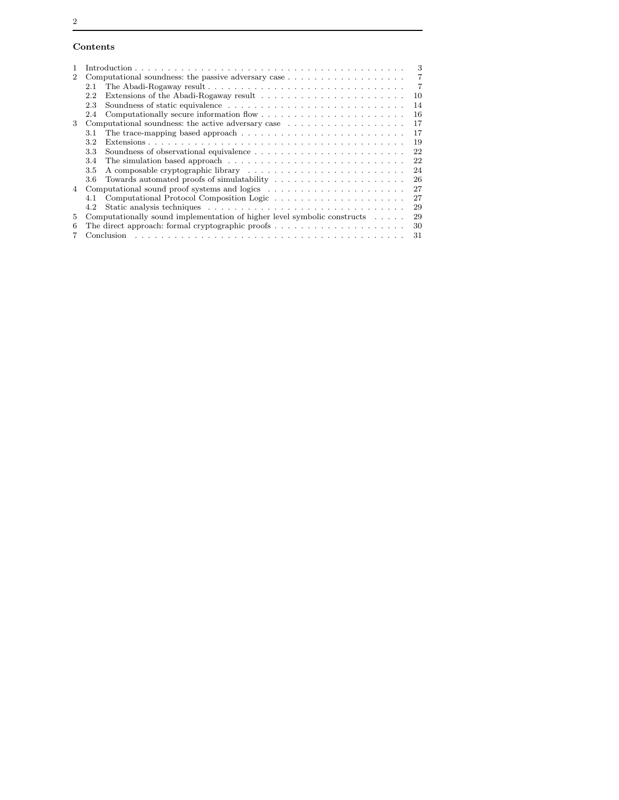# Contents

| $\mathbf{1}$   |                                                                                                                          | 3  |
|----------------|--------------------------------------------------------------------------------------------------------------------------|----|
| $\overline{2}$ |                                                                                                                          | 7  |
|                | $2.1\,$                                                                                                                  | 7  |
|                | Extensions of the Abadi-Rogaway result $\hfill\ldots\ldots\ldots\ldots\ldots\ldots\ldots\ldots\ldots\ldots\ldots$<br>2.2 | 10 |
|                | Soundness of static equivalence $\ldots \ldots \ldots \ldots \ldots \ldots \ldots \ldots$<br>2.3                         | 14 |
|                | 2.4                                                                                                                      | 16 |
| 3              | Computational soundness: the active adversary case<br>$\hfill\ldots\ldots\ldots\ldots\ldots\ldots\ldots\ldots$           | 17 |
|                | The trace-mapping based approach $\ldots \ldots \ldots \ldots \ldots \ldots \ldots \ldots \ldots$<br>3.1                 | 17 |
|                | 3.2                                                                                                                      | 19 |
|                | 3.3                                                                                                                      | 22 |
|                | 3.4                                                                                                                      | 22 |
|                | 3.5                                                                                                                      | 24 |
|                | Towards automated proofs of simulatability $\ldots \ldots \ldots \ldots \ldots \ldots \ldots$<br>3.6                     | 26 |
| 4              | Computational sound proof systems and logics $\ldots \ldots \ldots \ldots \ldots \ldots \ldots$                          | 27 |
|                | Computational Protocol Composition Logic $\ldots \ldots \ldots \ldots \ldots \ldots \ldots$<br>4.1                       | 27 |
|                | 4.2                                                                                                                      | 29 |
| 5              | Computationally sound implementation of higher level symbolic constructs                                                 | 29 |
| 6              |                                                                                                                          | 30 |
|                | Conclusion                                                                                                               | 31 |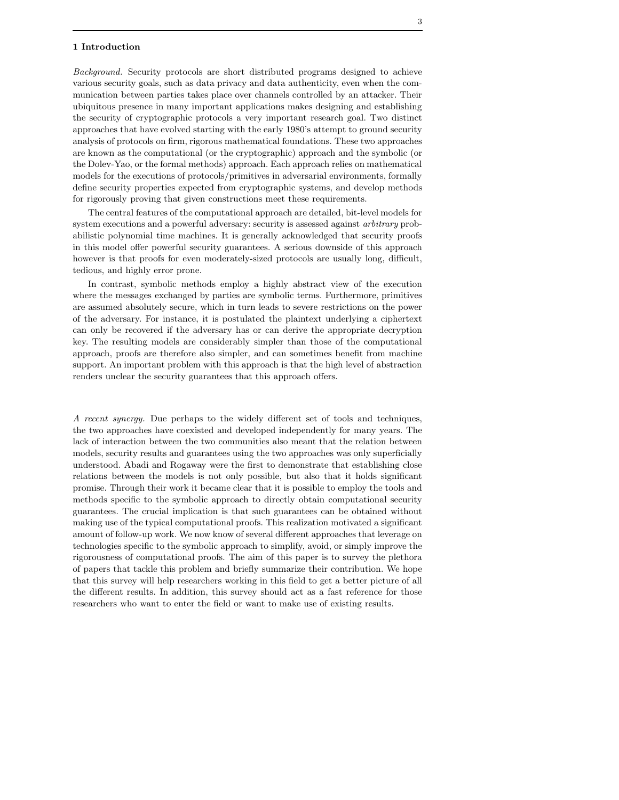#### 1 Introduction

Background. Security protocols are short distributed programs designed to achieve various security goals, such as data privacy and data authenticity, even when the communication between parties takes place over channels controlled by an attacker. Their ubiquitous presence in many important applications makes designing and establishing the security of cryptographic protocols a very important research goal. Two distinct approaches that have evolved starting with the early 1980's attempt to ground security analysis of protocols on firm, rigorous mathematical foundations. These two approaches are known as the computational (or the cryptographic) approach and the symbolic (or the Dolev-Yao, or the formal methods) approach. Each approach relies on mathematical models for the executions of protocols/primitives in adversarial environments, formally define security properties expected from cryptographic systems, and develop methods for rigorously proving that given constructions meet these requirements.

The central features of the computational approach are detailed, bit-level models for system executions and a powerful adversary: security is assessed against *arbitrary* probabilistic polynomial time machines. It is generally acknowledged that security proofs in this model offer powerful security guarantees. A serious downside of this approach however is that proofs for even moderately-sized protocols are usually long, difficult, tedious, and highly error prone.

In contrast, symbolic methods employ a highly abstract view of the execution where the messages exchanged by parties are symbolic terms. Furthermore, primitives are assumed absolutely secure, which in turn leads to severe restrictions on the power of the adversary. For instance, it is postulated the plaintext underlying a ciphertext can only be recovered if the adversary has or can derive the appropriate decryption key. The resulting models are considerably simpler than those of the computational approach, proofs are therefore also simpler, and can sometimes benefit from machine support. An important problem with this approach is that the high level of abstraction renders unclear the security guarantees that this approach offers.

A recent synergy. Due perhaps to the widely different set of tools and techniques, the two approaches have coexisted and developed independently for many years. The lack of interaction between the two communities also meant that the relation between models, security results and guarantees using the two approaches was only superficially understood. Abadi and Rogaway were the first to demonstrate that establishing close relations between the models is not only possible, but also that it holds significant promise. Through their work it became clear that it is possible to employ the tools and methods specific to the symbolic approach to directly obtain computational security guarantees. The crucial implication is that such guarantees can be obtained without making use of the typical computational proofs. This realization motivated a significant amount of follow-up work. We now know of several different approaches that leverage on technologies specific to the symbolic approach to simplify, avoid, or simply improve the rigorousness of computational proofs. The aim of this paper is to survey the plethora of papers that tackle this problem and briefly summarize their contribution. We hope that this survey will help researchers working in this field to get a better picture of all the different results. In addition, this survey should act as a fast reference for those researchers who want to enter the field or want to make use of existing results.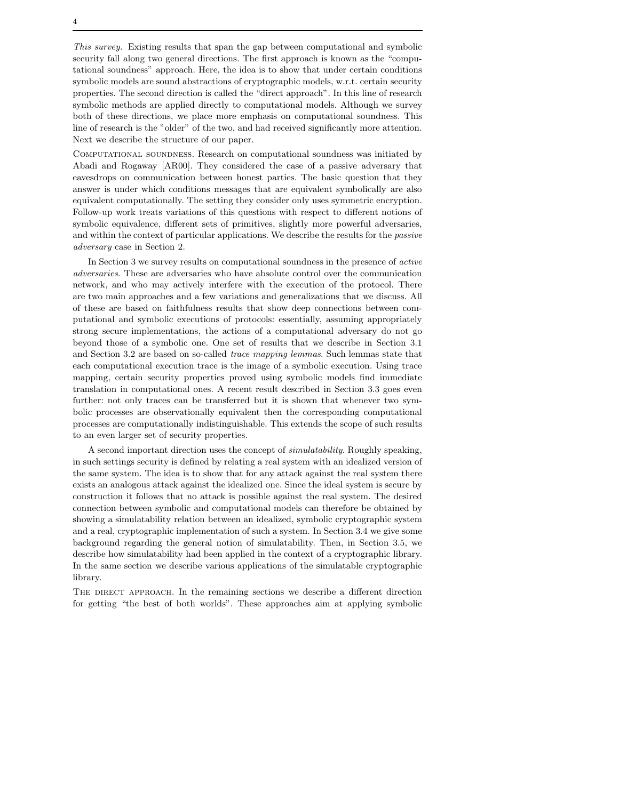This survey. Existing results that span the gap between computational and symbolic security fall along two general directions. The first approach is known as the "computational soundness" approach. Here, the idea is to show that under certain conditions symbolic models are sound abstractions of cryptographic models, w.r.t. certain security properties. The second direction is called the "direct approach". In this line of research symbolic methods are applied directly to computational models. Although we survey both of these directions, we place more emphasis on computational soundness. This line of research is the "older" of the two, and had received significantly more attention. Next we describe the structure of our paper.

Computational soundness. Research on computational soundness was initiated by Abadi and Rogaway [AR00]. They considered the case of a passive adversary that eavesdrops on communication between honest parties. The basic question that they answer is under which conditions messages that are equivalent symbolically are also equivalent computationally. The setting they consider only uses symmetric encryption. Follow-up work treats variations of this questions with respect to different notions of symbolic equivalence, different sets of primitives, slightly more powerful adversaries, and within the context of particular applications. We describe the results for the passive adversary case in Section 2.

In Section 3 we survey results on computational soundness in the presence of active adversaries. These are adversaries who have absolute control over the communication network, and who may actively interfere with the execution of the protocol. There are two main approaches and a few variations and generalizations that we discuss. All of these are based on faithfulness results that show deep connections between computational and symbolic executions of protocols: essentially, assuming appropriately strong secure implementations, the actions of a computational adversary do not go beyond those of a symbolic one. One set of results that we describe in Section 3.1 and Section 3.2 are based on so-called trace mapping lemmas. Such lemmas state that each computational execution trace is the image of a symbolic execution. Using trace mapping, certain security properties proved using symbolic models find immediate translation in computational ones. A recent result described in Section 3.3 goes even further: not only traces can be transferred but it is shown that whenever two symbolic processes are observationally equivalent then the corresponding computational processes are computationally indistinguishable. This extends the scope of such results to an even larger set of security properties.

A second important direction uses the concept of *simulatability*. Roughly speaking, in such settings security is defined by relating a real system with an idealized version of the same system. The idea is to show that for any attack against the real system there exists an analogous attack against the idealized one. Since the ideal system is secure by construction it follows that no attack is possible against the real system. The desired connection between symbolic and computational models can therefore be obtained by showing a simulatability relation between an idealized, symbolic cryptographic system and a real, cryptographic implementation of such a system. In Section 3.4 we give some background regarding the general notion of simulatability. Then, in Section 3.5, we describe how simulatability had been applied in the context of a cryptographic library. In the same section we describe various applications of the simulatable cryptographic library.

THE DIRECT APPROACH. In the remaining sections we describe a different direction for getting "the best of both worlds". These approaches aim at applying symbolic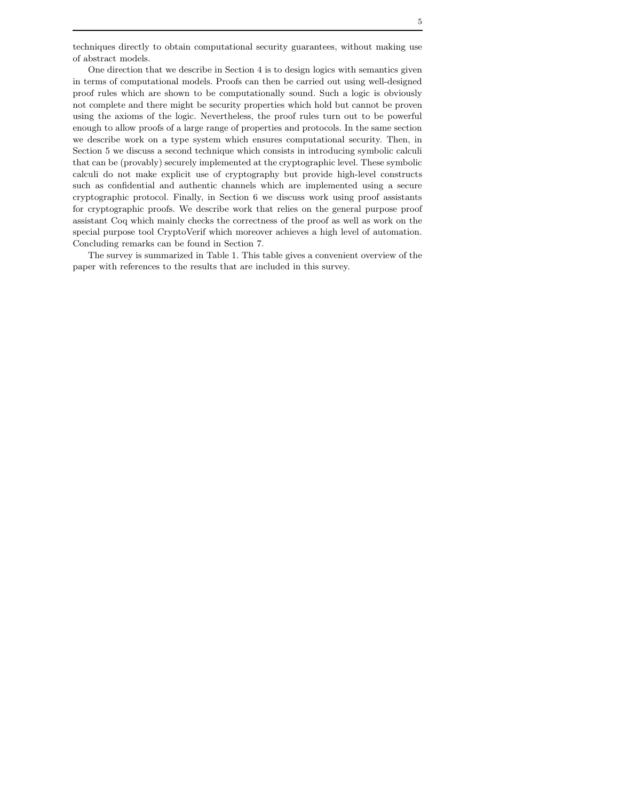5

techniques directly to obtain computational security guarantees, without making use of abstract models.

One direction that we describe in Section 4 is to design logics with semantics given in terms of computational models. Proofs can then be carried out using well-designed proof rules which are shown to be computationally sound. Such a logic is obviously not complete and there might be security properties which hold but cannot be proven using the axioms of the logic. Nevertheless, the proof rules turn out to be powerful enough to allow proofs of a large range of properties and protocols. In the same section we describe work on a type system which ensures computational security. Then, in Section 5 we discuss a second technique which consists in introducing symbolic calculi that can be (provably) securely implemented at the cryptographic level. These symbolic calculi do not make explicit use of cryptography but provide high-level constructs such as confidential and authentic channels which are implemented using a secure cryptographic protocol. Finally, in Section 6 we discuss work using proof assistants for cryptographic proofs. We describe work that relies on the general purpose proof assistant Coq which mainly checks the correctness of the proof as well as work on the special purpose tool CryptoVerif which moreover achieves a high level of automation. Concluding remarks can be found in Section 7.

The survey is summarized in Table 1. This table gives a convenient overview of the paper with references to the results that are included in this survey.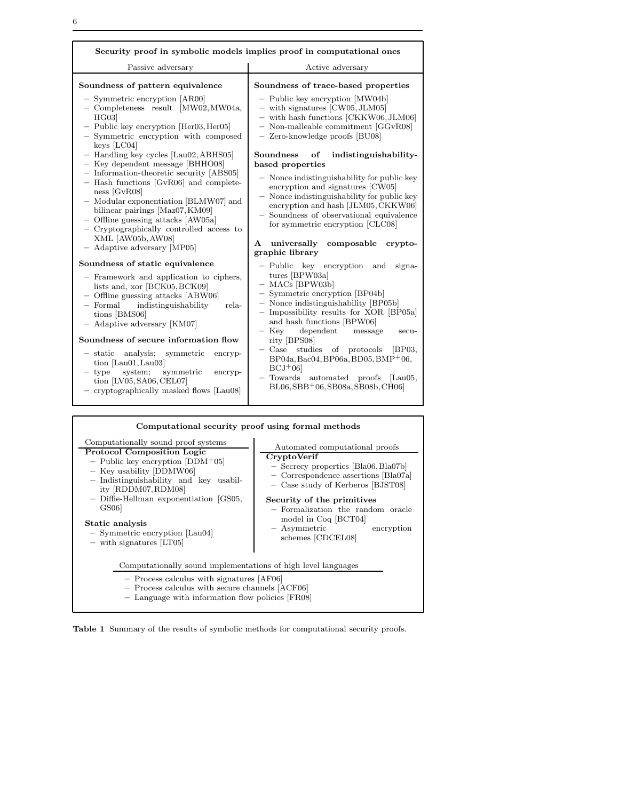| Security proof in symbolic models implies proof in computational ones                                                                                                                                                          |                                                                                                                                                                                                                                    |  |  |  |
|--------------------------------------------------------------------------------------------------------------------------------------------------------------------------------------------------------------------------------|------------------------------------------------------------------------------------------------------------------------------------------------------------------------------------------------------------------------------------|--|--|--|
| Passive adversary                                                                                                                                                                                                              | Active adversary                                                                                                                                                                                                                   |  |  |  |
| Soundness of pattern equivalence                                                                                                                                                                                               | Soundness of trace-based properties                                                                                                                                                                                                |  |  |  |
| - Symmetric encryption AR00<br>- Completeness result [MW02, MW04a,<br>HG03<br>- Public key encryption [Her03, Her05]<br>- Symmetric encryption with composed<br>keys [LC04]                                                    | - Public key encryption MW04b<br>$-$ with signatures [CW05, JLM05]<br>- with hash functions [CKKW06, JLM06]<br>$-$ Non-malleable commitment [GGvR08]<br>- Zero-knowledge proofs [BU08]                                             |  |  |  |
| - Handling key cycles [Lau02, ABHS05]<br>- Key dependent message [BHHO08]<br>- Information-theoretic security [ABS05]<br>- Hash functions [GvR06] and complete-<br>$ness$ [ $GvR08$ ]<br>- Modular exponentiation [BLMW07] and | indistinguishability-<br>Soundness of<br>based properties<br>- Nonce indistinguishability for public key<br>encryption and signatures [CW05]<br>- Nonce indistinguishability for public key<br>encryption and hash [JLM05, CKKW06] |  |  |  |
| bilinear pairings [Maz07, KM09]                                                                                                                                                                                                | - Soundness of observational equivalence                                                                                                                                                                                           |  |  |  |

 $-$  Offline guessing attacks  $[\text{AW05a}]$ – Cryptographically controlled access to

– Framework and application to ciphers, lists and, xor [BCK05,BCK09]  $-$  Offline guessing attacks [ABW06]<br> $-$  Formal indistinguishability

indistinguishability rela-

XML [AW05b,AW08] – Adaptive adversary [MP05] Soundness of static equivalence

tions [BMS06]

tion [Lau01,Lau03]

– Adaptive adversary [KM07]

tion [LV05,SA06,CEL07]

Soundness of secure information flow – static analysis; symmetric encryp-

– type system; symmetric encryp-

– cryptographically masked flows [Lau08]

for symmetric encryption [CLC08]

# A universally composable cryptographic library

- Public key encryption and signatures [BPW03a]
- MACs [BPW03b]
- Symmetric encryption [BP04b]
- Nonce indistinguishability [BP05b]
- Impossibility results for XOR [BP05a] and hash functions [BPW06]
- Key dependent message security [BPS08]
- Case studies of protocols [BP03, BP04a,Bac04,BP06a,BD05,BMP+06,  $BCJ+06$ ]
- Towards automated proofs [Lau05, BL06,SBB+06,SB08a,SB08b,CH06]

| Computational security proof using formal methods                                                                                                                                                                                                                                                                                                          |                                                                                                                                                                                                                                                                                                                    |  |
|------------------------------------------------------------------------------------------------------------------------------------------------------------------------------------------------------------------------------------------------------------------------------------------------------------------------------------------------------------|--------------------------------------------------------------------------------------------------------------------------------------------------------------------------------------------------------------------------------------------------------------------------------------------------------------------|--|
| Computationally sound proof systems<br><b>Protocol Composition Logic</b><br>- Public key encryption [DDM+05]<br>- Key usability [DDMW06]<br>- Indistinguishability and key usabil-<br>ity [RDDM07, RDM08]<br>- Diffie-Hellman exponentiation [GS05,<br>GS <sub>06</sub><br>Static analysis<br>- Symmetric encryption [Lau04]<br>$-$ with signatures [LT05] | Automated computational proofs<br>CryptoVerif<br>$-$ Secrecy properties [Bla06, Bla07b]<br>- Correspondence assertions [Bla07a]<br>- Case study of Kerberos [BJST08]<br>Security of the primitives<br>- Formalization the random oracle<br>model in Coq [BCT04]<br>encryption<br>- Asymmetric<br>schemes [CDCEL08] |  |
| Computationally sound implementations of high level languages                                                                                                                                                                                                                                                                                              |                                                                                                                                                                                                                                                                                                                    |  |
| - Process calculus with signatures [AF06]<br>- Process calculus with secure channels [ACF06]<br>Language with information flow policies [ED09]                                                                                                                                                                                                             |                                                                                                                                                                                                                                                                                                                    |  |

– Language with information flow policies [FR08]

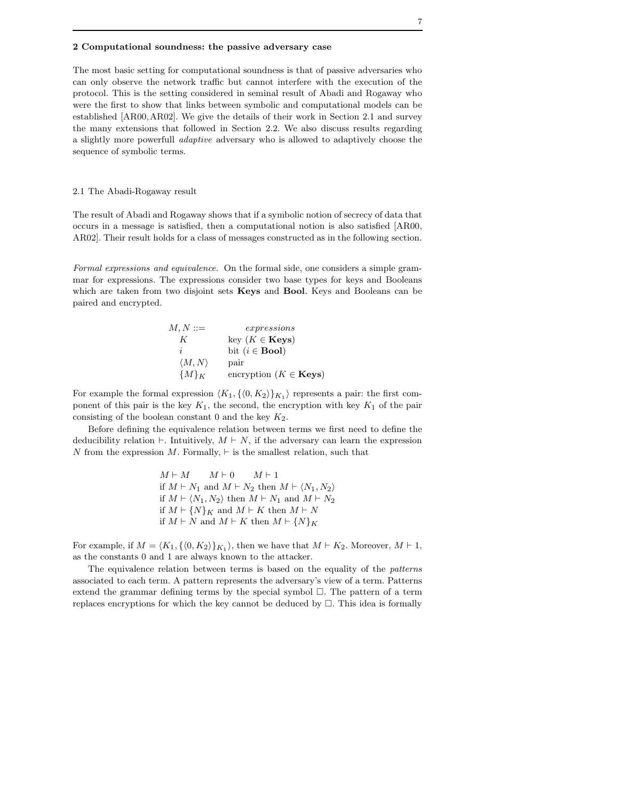#### 2 Computational soundness: the passive adversary case

The most basic setting for computational soundness is that of passive adversaries who can only observe the network traffic but cannot interfere with the execution of the protocol. This is the setting considered in seminal result of Abadi and Rogaway who were the first to show that links between symbolic and computational models can be established [AR00,AR02]. We give the details of their work in Section 2.1 and survey the many extensions that followed in Section 2.2. We also discuss results regarding a slightly more powerfull adaptive adversary who is allowed to adaptively choose the sequence of symbolic terms.

#### 2.1 The Abadi-Rogaway result

The result of Abadi and Rogaway shows that if a symbolic notion of secrecy of data that occurs in a message is satisfied, then a computational notion is also satisfied [AR00, AR02]. Their result holds for a class of messages constructed as in the following section.

Formal expressions and equivalence. On the formal side, one considers a simple grammar for expressions. The expressions consider two base types for keys and Booleans which are taken from two disjoint sets **Keys** and **Bool**. Keys and Booleans can be paired and encrypted.

| $M, N ::=$             | expressions                        |
|------------------------|------------------------------------|
| ĸ                      | key $(K \in \mathbf{Keys})$        |
| $\dot{i}$              | bit $(i \in \mathbf{Bool})$        |
| $\langle M, N \rangle$ | pair                               |
| ${M}_K$                | encryption $(K \in \textbf{Keys})$ |

For example the formal expression  $\langle K_1, \{ \langle 0, K_2 \rangle \}_{K_1} \rangle$  represents a pair: the first component of this pair is the key  $K_1$ , the second, the encryption with key  $K_1$  of the pair consisting of the boolean constant 0 and the key  $K_2$ .

Before defining the equivalence relation between terms we first need to define the deducibility relation ⊢. Intuitively,  $M \vdash N$ , if the adversary can learn the expression N from the expression M. Formally,  $\vdash$  is the smallest relation, such that

$$
\begin{array}{ll} M \vdash M & M \vdash 0 & M \vdash 1 \\ \text{if $M \vdash N_1$ and $M \vdash N_2$ then $M \vdash \langle N_1, N_2 \rangle$} \\ \text{if $M \vdash \langle N_1, N_2 \rangle$ then $M \vdash N_1$ and $M \vdash N_2$} \\ \text{if $M \vdash \{N\}_K$ and $M \vdash K$ then $M \vdash N$} \\ \text{if $M \vdash N$ and $M \vdash K$ then $M \vdash \{N\}_K$} \end{array}
$$

For example, if  $M = \langle K_1, \{ \langle 0, K_2 \rangle \}_{K_1} \rangle$ , then we have that  $M \vdash K_2$ . Moreover,  $M \vdash 1$ , as the constants 0 and 1 are always known to the attacker.

The equivalence relation between terms is based on the equality of the patterns associated to each term. A pattern represents the adversary's view of a term. Patterns extend the grammar defining terms by the special symbol  $\Box$ . The pattern of a term replaces encryptions for which the key cannot be deduced by  $\Box$ . This idea is formally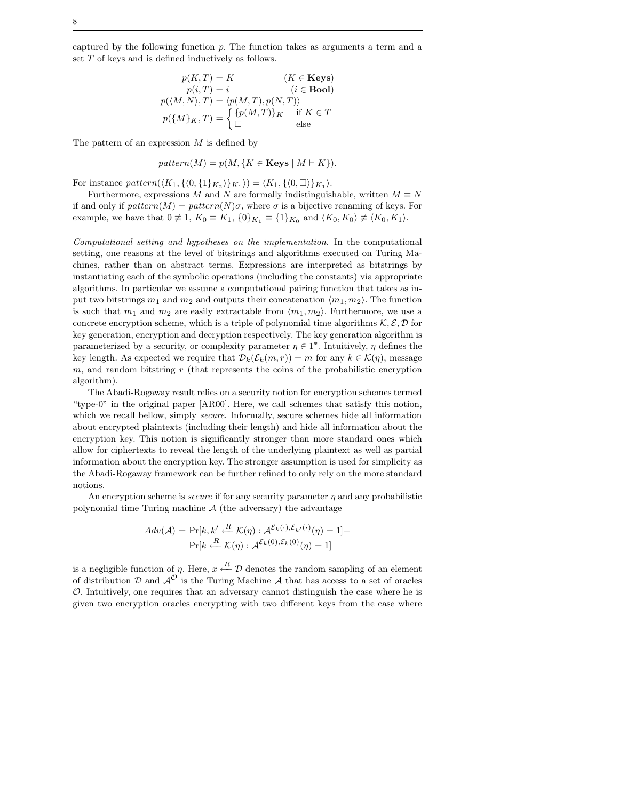captured by the following function p. The function takes as arguments a term and a set T of keys and is defined inductively as follows.

$$
p(K,T) = K \qquad (K \in \textbf{Keys})
$$
  
\n
$$
p(i,T) = i \qquad (i \in \textbf{Bool})
$$
  
\n
$$
p(\langle M, N \rangle, T) = \langle p(M, T), p(N, T) \rangle
$$
  
\n
$$
p(\{M\}_K, T) = \begin{cases} \{p(M, T)\}_K & \text{if } K \in T \\ \Box & \text{else} \end{cases}
$$

The pattern of an expression  $M$  is defined by

$$
pattern(M) = p(M, \{K \in \textbf{Keys} \mid M \vdash K\}).
$$

For instance  $pattern(\langle K_1, {\{\langle 0, {1} \}_{K_2}} \rangle \}_{K_1}) = \langle K_1, {\{\langle 0, \Box \rangle \}_{K_1}} \rangle.$ 

Furthermore, expressions M and N are formally indistinguishable, written  $M \equiv N$ if and only if  $pattern(M) = pattern(N)\sigma$ , where  $\sigma$  is a bijective renaming of keys. For example, we have that  $0 \neq 1$ ,  $K_0 \equiv K_1$ ,  $\{0\}_{K_1} \equiv \{1\}_{K_0}$  and  $\langle K_0, K_0 \rangle \neq \langle K_0, K_1 \rangle$ .

Computational setting and hypotheses on the implementation. In the computational setting, one reasons at the level of bitstrings and algorithms executed on Turing Machines, rather than on abstract terms. Expressions are interpreted as bitstrings by instantiating each of the symbolic operations (including the constants) via appropriate algorithms. In particular we assume a computational pairing function that takes as input two bitstrings  $m_1$  and  $m_2$  and outputs their concatenation  $\langle m_1, m_2 \rangle$ . The function is such that  $m_1$  and  $m_2$  are easily extractable from  $\langle m_1, m_2 \rangle$ . Furthermore, we use a concrete encryption scheme, which is a triple of polynomial time algorithms  $K, \mathcal{E}, \mathcal{D}$  for key generation, encryption and decryption respectively. The key generation algorithm is parameterized by a security, or complexity parameter  $\eta \in \mathbb{1}^*$ . Intuitively,  $\eta$  defines the key length. As expected we require that  $\mathcal{D}_k(\mathcal{E}_k(m,r)) = m$  for any  $k \in \mathcal{K}(\eta)$ , message  $m$ , and random bitstring  $r$  (that represents the coins of the probabilistic encryption algorithm).

The Abadi-Rogaway result relies on a security notion for encryption schemes termed "type-0" in the original paper [AR00]. Here, we call schemes that satisfy this notion, which we recall bellow, simply *secure*. Informally, secure schemes hide all information about encrypted plaintexts (including their length) and hide all information about the encryption key. This notion is significantly stronger than more standard ones which allow for ciphertexts to reveal the length of the underlying plaintext as well as partial information about the encryption key. The stronger assumption is used for simplicity as the Abadi-Rogaway framework can be further refined to only rely on the more standard notions.

An encryption scheme is *secure* if for any security parameter  $\eta$  and any probabilistic polynomial time Turing machine  $A$  (the adversary) the advantage

$$
Adv(\mathcal{A}) = \Pr[k, k' \stackrel{R}{\leftarrow} \mathcal{K}(\eta) : \mathcal{A}^{\mathcal{E}_k(\cdot), \mathcal{E}_{k'}(\cdot)}(\eta) = 1] -
$$

$$
\Pr[k \stackrel{R}{\leftarrow} \mathcal{K}(\eta) : \mathcal{A}^{\mathcal{E}_k(0), \mathcal{E}_k(0)}(\eta) = 1]
$$

is a negligible function of  $\eta$ . Here,  $x \stackrel{R}{\leftarrow} \mathcal{D}$  denotes the random sampling of an element of distribution D and  $\mathcal{A}^{\mathcal{O}}$  is the Turing Machine A that has access to a set of oracles O. Intuitively, one requires that an adversary cannot distinguish the case where he is given two encryption oracles encrypting with two different keys from the case where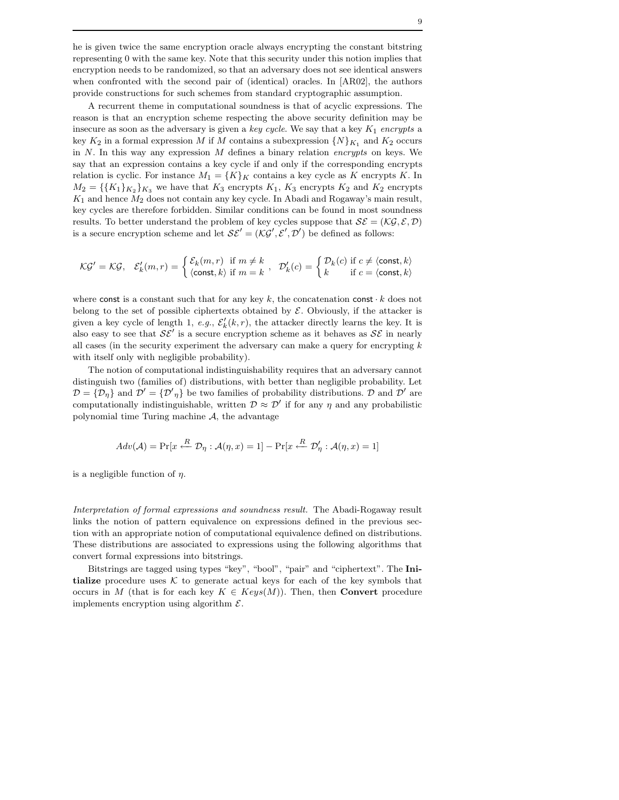he is given twice the same encryption oracle always encrypting the constant bitstring representing 0 with the same key. Note that this security under this notion implies that encryption needs to be randomized, so that an adversary does not see identical answers when confronted with the second pair of (identical) oracles. In [AR02], the authors provide constructions for such schemes from standard cryptographic assumption.

A recurrent theme in computational soundness is that of acyclic expressions. The reason is that an encryption scheme respecting the above security definition may be insecure as soon as the adversary is given a key cycle. We say that a key  $K_1$  encrypts a key  $K_2$  in a formal expression M if M contains a subexpression  $\{N\}_{K_1}$  and  $K_2$  occurs in  $N$ . In this way any expression  $M$  defines a binary relation encrypts on keys. We say that an expression contains a key cycle if and only if the corresponding encrypts relation is cyclic. For instance  $M_1 = \{K\}_K$  contains a key cycle as K encrypts K. In  $M_2 = \{\{K_1\}_{K_2}\}_{K_3}$  we have that  $K_3$  encrypts  $K_1$ ,  $K_3$  encrypts  $K_2$  and  $K_2$  encrypts  $K_1$  and hence  $M_2$  does not contain any key cycle. In Abadi and Rogaway's main result, key cycles are therefore forbidden. Similar conditions can be found in most soundness results. To better understand the problem of key cycles suppose that  $\mathcal{S}\mathcal{E} = (\mathcal{K}\mathcal{G}, \mathcal{E}, \mathcal{D})$ is a secure encryption scheme and let  $\mathcal{SE}' = (\mathcal{KG}', \mathcal{E}', \mathcal{D}')$  be defined as follows:

$$
\mathcal{KG}' = \mathcal{KG}, \quad \mathcal{E}'_k(m,r) = \left\{ \begin{matrix} \mathcal{E}_k(m,r) & \text{if } m \neq k \\ \langle \text{const}, k \rangle & \text{if } m = k \end{matrix} \right., \quad \mathcal{D}'_k(c) = \left\{ \begin{matrix} \mathcal{D}_k(c) & \text{if } c \neq \langle \text{const}, k \rangle \\ k & \text{if } c = \langle \text{const}, k \rangle \end{matrix} \right.
$$

where const is a constant such that for any key k, the concatenation const  $\cdot k$  does not belong to the set of possible ciphertexts obtained by  $\mathcal E$ . Obviously, if the attacker is given a key cycle of length 1, e.g.,  $\mathcal{E}'_k(k,r)$ , the attacker directly learns the key. It is also easy to see that  $\mathcal{SE}'$  is a secure encryption scheme as it behaves as  $\mathcal{SE}$  in nearly all cases (in the security experiment the adversary can make a query for encrypting  $k$ with itself only with negligible probability).

The notion of computational indistinguishability requires that an adversary cannot distinguish two (families of) distributions, with better than negligible probability. Let  $\mathcal{D} = {\mathcal{D}_{\eta}}$  and  $\mathcal{D}' = {\mathcal{D'}_{\eta}}$  be two families of probability distributions. D and  $\mathcal{D}'$  are computationally indistinguishable, written  $\mathcal{D} \approx \mathcal{D}'$  if for any  $\eta$  and any probabilistic polynomial time Turing machine A, the advantage

$$
Adv(\mathcal{A}) = \Pr[x \stackrel{R}{\longleftarrow} \mathcal{D}_{\eta} : \mathcal{A}(\eta, x) = 1] - \Pr[x \stackrel{R}{\longleftarrow} \mathcal{D}'_{\eta} : \mathcal{A}(\eta, x) = 1]
$$

is a negligible function of  $\eta$ .

Interpretation of formal expressions and soundness result. The Abadi-Rogaway result links the notion of pattern equivalence on expressions defined in the previous section with an appropriate notion of computational equivalence defined on distributions. These distributions are associated to expressions using the following algorithms that convert formal expressions into bitstrings.

Bitstrings are tagged using types "key", "bool", "pair" and "ciphertext". The Initialize procedure uses  $K$  to generate actual keys for each of the key symbols that occurs in M (that is for each key  $K \in Keys(M)$ ). Then, then **Convert** procedure implements encryption using algorithm  $\mathcal{E}$ .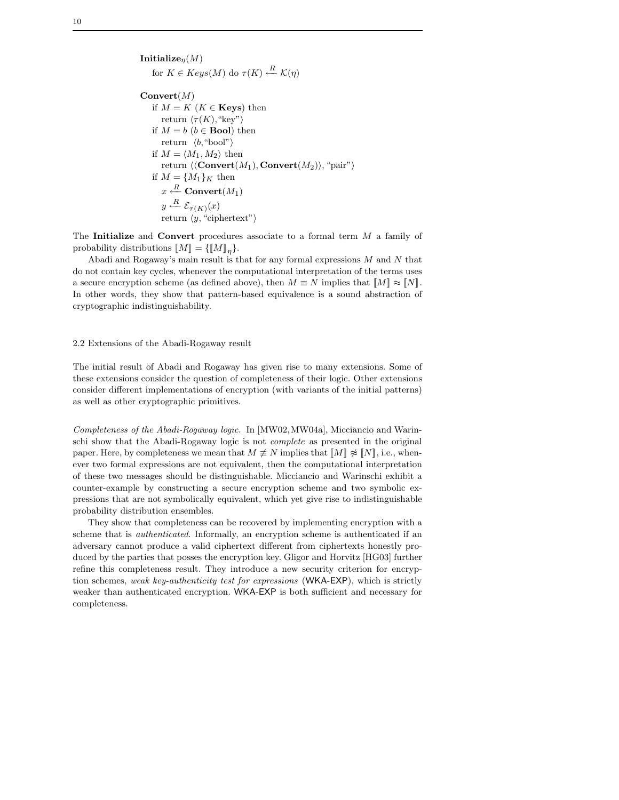Initialize<sub>n</sub> $(M)$ for  $K \in Keys(M)$  do  $\tau(K) \stackrel{R}{\leftarrow} \mathcal{K}(\eta)$ 

 $$ if  $M = K$  ( $K \in \mathbf{Keys}$ ) then return  $\langle \tau(K), \text{``key''}\rangle$ if  $M = b$  ( $b \in \textbf{Bool}$ ) then return  $\langle b, \text{``bool''}\rangle$ if  $M = \langle M_1, M_2 \rangle$  then return  $\langle \langle \mathbf{Convert}(M_1), \mathbf{Convert}(M_2) \rangle$ , "pair") if  $M = \{M_1\}_K$  then  $x \stackrel{R}{\longleftarrow} \mathbf{Convert}(M_1)$  $y \stackrel{R}{\longleftarrow} \mathcal{E}_{\tau(K)}(x)$ return  $\langle y, "ciphertext"\rangle$ 

The Initialize and Convert procedures associate to a formal term  $M$  a family of probability distributions  $[M] = \{\llbracket M \rrbracket_{\eta}\}.$ 

Abadi and Rogaway's main result is that for any formal expressions  $M$  and  $N$  that do not contain key cycles, whenever the computational interpretation of the terms uses a secure encryption scheme (as defined above), then  $M \equiv N$  implies that  $\llbracket M \rrbracket \approx \llbracket N \rrbracket$ . In other words, they show that pattern-based equivalence is a sound abstraction of cryptographic indistinguishability.

# 2.2 Extensions of the Abadi-Rogaway result

The initial result of Abadi and Rogaway has given rise to many extensions. Some of these extensions consider the question of completeness of their logic. Other extensions consider different implementations of encryption (with variants of the initial patterns) as well as other cryptographic primitives.

Completeness of the Abadi-Rogaway logic. In [MW02,MW04a], Micciancio and Warinschi show that the Abadi-Rogaway logic is not complete as presented in the original paper. Here, by completeness we mean that  $M \not\equiv N$  implies that  $\llbracket M \rrbracket \not\approx \llbracket N \rrbracket$ , i.e., whenever two formal expressions are not equivalent, then the computational interpretation of these two messages should be distinguishable. Micciancio and Warinschi exhibit a counter-example by constructing a secure encryption scheme and two symbolic expressions that are not symbolically equivalent, which yet give rise to indistinguishable probability distribution ensembles.

They show that completeness can be recovered by implementing encryption with a scheme that is authenticated. Informally, an encryption scheme is authenticated if an adversary cannot produce a valid ciphertext different from ciphertexts honestly produced by the parties that posses the encryption key. Gligor and Horvitz [HG03] further refine this completeness result. They introduce a new security criterion for encryption schemes, weak key-authenticity test for expressions (WKA-EXP), which is strictly weaker than authenticated encryption. WKA-EXP is both sufficient and necessary for completeness.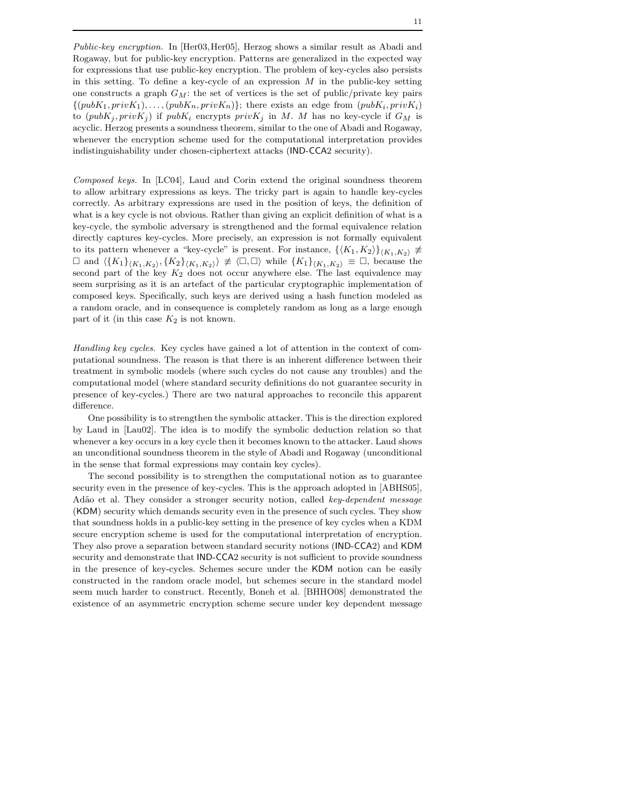Composed keys. In [LC04], Laud and Corin extend the original soundness theorem to allow arbitrary expressions as keys. The tricky part is again to handle key-cycles correctly. As arbitrary expressions are used in the position of keys, the definition of what is a key cycle is not obvious. Rather than giving an explicit definition of what is a key-cycle, the symbolic adversary is strengthened and the formal equivalence relation directly captures key-cycles. More precisely, an expression is not formally equivalent to its pattern whenever a "key-cycle" is present. For instance,  $\{\langle K_1, K_2 \rangle\}_{\langle K_1, K_2 \rangle} \neq$  $\Box$  and  $\langle {K_1} \rangle_{\langle K_1, K_2 \rangle}, {K_2} \rangle_{\langle K_1, K_2 \rangle} \not\equiv \langle \Box, \Box \rangle$  while  ${K_1} \rangle_{\langle K_1, K_2 \rangle} \equiv \Box$ , because the second part of the key  $K_2$  does not occur anywhere else. The last equivalence may seem surprising as it is an artefact of the particular cryptographic implementation of composed keys. Specifically, such keys are derived using a hash function modeled as a random oracle, and in consequence is completely random as long as a large enough part of it (in this case  $K_2$  is not known.

Handling key cycles. Key cycles have gained a lot of attention in the context of computational soundness. The reason is that there is an inherent difference between their treatment in symbolic models (where such cycles do not cause any troubles) and the computational model (where standard security definitions do not guarantee security in presence of key-cycles.) There are two natural approaches to reconcile this apparent difference.

One possibility is to strengthen the symbolic attacker. This is the direction explored by Laud in [Lau02]. The idea is to modify the symbolic deduction relation so that whenever a key occurs in a key cycle then it becomes known to the attacker. Laud shows an unconditional soundness theorem in the style of Abadi and Rogaway (unconditional in the sense that formal expressions may contain key cycles).

The second possibility is to strengthen the computational notion as to guarantee security even in the presence of key-cycles. This is the approach adopted in [ABHS05], Adão et al. They consider a stronger security notion, called key-dependent message (KDM) security which demands security even in the presence of such cycles. They show that soundness holds in a public-key setting in the presence of key cycles when a KDM secure encryption scheme is used for the computational interpretation of encryption. They also prove a separation between standard security notions (IND-CCA2) and KDM security and demonstrate that **IND-CCA2** security is not sufficient to provide soundness in the presence of key-cycles. Schemes secure under the KDM notion can be easily constructed in the random oracle model, but schemes secure in the standard model seem much harder to construct. Recently, Boneh et al. [BHHO08] demonstrated the existence of an asymmetric encryption scheme secure under key dependent message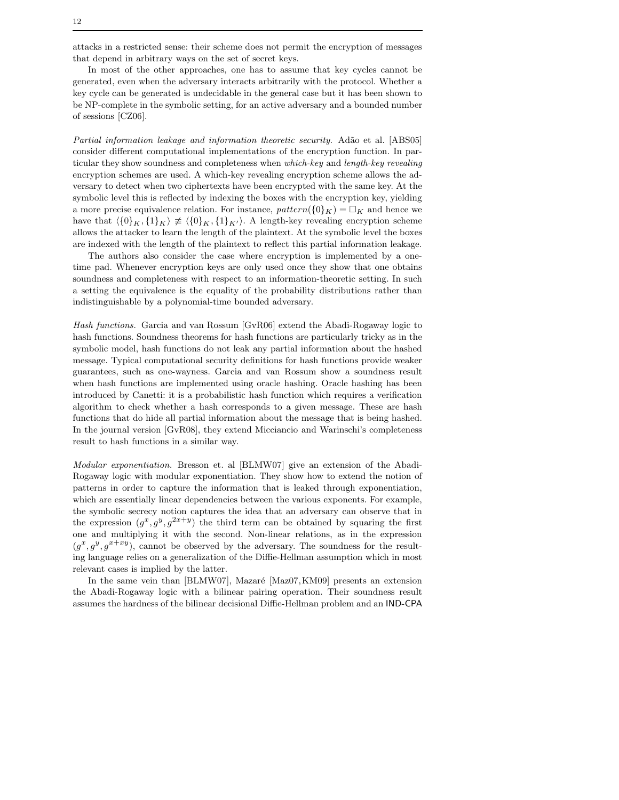attacks in a restricted sense: their scheme does not permit the encryption of messages that depend in arbitrary ways on the set of secret keys.

In most of the other approaches, one has to assume that key cycles cannot be generated, even when the adversary interacts arbitrarily with the protocol. Whether a key cycle can be generated is undecidable in the general case but it has been shown to be NP-complete in the symbolic setting, for an active adversary and a bounded number of sessions [CZ06].

Partial information leakage and information theoretic security. Adão et al. [ABS05] consider different computational implementations of the encryption function. In particular they show soundness and completeness when which-key and length-key revealing encryption schemes are used. A which-key revealing encryption scheme allows the adversary to detect when two ciphertexts have been encrypted with the same key. At the symbolic level this is reflected by indexing the boxes with the encryption key, yielding a more precise equivalence relation. For instance,  $pattern({0})_K) = \Box_K$  and hence we have that  $\langle \{0\}_K, \{1\}_K \rangle \not\equiv \langle \{0\}_K, \{1\}_K \rangle$ . A length-key revealing encryption scheme allows the attacker to learn the length of the plaintext. At the symbolic level the boxes are indexed with the length of the plaintext to reflect this partial information leakage.

The authors also consider the case where encryption is implemented by a onetime pad. Whenever encryption keys are only used once they show that one obtains soundness and completeness with respect to an information-theoretic setting. In such a setting the equivalence is the equality of the probability distributions rather than indistinguishable by a polynomial-time bounded adversary.

Hash functions. Garcia and van Rossum [GvR06] extend the Abadi-Rogaway logic to hash functions. Soundness theorems for hash functions are particularly tricky as in the symbolic model, hash functions do not leak any partial information about the hashed message. Typical computational security definitions for hash functions provide weaker guarantees, such as one-wayness. Garcia and van Rossum show a soundness result when hash functions are implemented using oracle hashing. Oracle hashing has been introduced by Canetti: it is a probabilistic hash function which requires a verification algorithm to check whether a hash corresponds to a given message. These are hash functions that do hide all partial information about the message that is being hashed. In the journal version [GvR08], they extend Micciancio and Warinschi's completeness result to hash functions in a similar way.

Modular exponentiation. Bresson et. al [BLMW07] give an extension of the Abadi-Rogaway logic with modular exponentiation. They show how to extend the notion of patterns in order to capture the information that is leaked through exponentiation, which are essentially linear dependencies between the various exponents. For example, the symbolic secrecy notion captures the idea that an adversary can observe that in the expression  $(g^x, g^y, g^{2x+y})$  the third term can be obtained by squaring the first one and multiplying it with the second. Non-linear relations, as in the expression  $(g^x, g^y, g^{x+xy})$ , cannot be observed by the adversary. The soundness for the resulting language relies on a generalization of the Diffie-Hellman assumption which in most relevant cases is implied by the latter.

In the same vein than [BLMW07], Mazaré [Maz07, KM09] presents an extension the Abadi-Rogaway logic with a bilinear pairing operation. Their soundness result assumes the hardness of the bilinear decisional Diffie-Hellman problem and an IND-CPA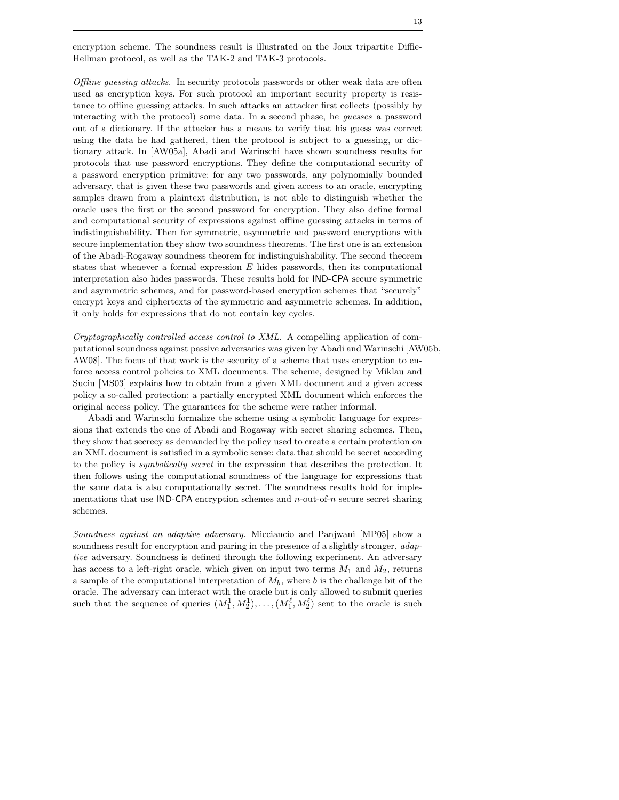encryption scheme. The soundness result is illustrated on the Joux tripartite Diffie-Hellman protocol, as well as the TAK-2 and TAK-3 protocols.

Offline guessing attacks. In security protocols passwords or other weak data are often used as encryption keys. For such protocol an important security property is resistance to offline guessing attacks. In such attacks an attacker first collects (possibly by interacting with the protocol) some data. In a second phase, he guesses a password out of a dictionary. If the attacker has a means to verify that his guess was correct using the data he had gathered, then the protocol is subject to a guessing, or dictionary attack. In [AW05a], Abadi and Warinschi have shown soundness results for protocols that use password encryptions. They define the computational security of a password encryption primitive: for any two passwords, any polynomially bounded adversary, that is given these two passwords and given access to an oracle, encrypting samples drawn from a plaintext distribution, is not able to distinguish whether the oracle uses the first or the second password for encryption. They also define formal and computational security of expressions against offline guessing attacks in terms of indistinguishability. Then for symmetric, asymmetric and password encryptions with secure implementation they show two soundness theorems. The first one is an extension of the Abadi-Rogaway soundness theorem for indistinguishability. The second theorem states that whenever a formal expression  $E$  hides passwords, then its computational interpretation also hides passwords. These results hold for IND-CPA secure symmetric and asymmetric schemes, and for password-based encryption schemes that "securely" encrypt keys and ciphertexts of the symmetric and asymmetric schemes. In addition, it only holds for expressions that do not contain key cycles.

Cryptographically controlled access control to XML. A compelling application of computational soundness against passive adversaries was given by Abadi and Warinschi [AW05b, AW08]. The focus of that work is the security of a scheme that uses encryption to enforce access control policies to XML documents. The scheme, designed by Miklau and Suciu [MS03] explains how to obtain from a given XML document and a given access policy a so-called protection: a partially encrypted XML document which enforces the original access policy. The guarantees for the scheme were rather informal.

Abadi and Warinschi formalize the scheme using a symbolic language for expressions that extends the one of Abadi and Rogaway with secret sharing schemes. Then, they show that secrecy as demanded by the policy used to create a certain protection on an XML document is satisfied in a symbolic sense: data that should be secret according to the policy is symbolically secret in the expression that describes the protection. It then follows using the computational soundness of the language for expressions that the same data is also computationally secret. The soundness results hold for implementations that use IND-CPA encryption schemes and  $n$ -out-of-n secure secret sharing schemes.

Soundness against an adaptive adversary. Micciancio and Panjwani [MP05] show a soundness result for encryption and pairing in the presence of a slightly stronger, *adap*tive adversary. Soundness is defined through the following experiment. An adversary has access to a left-right oracle, which given on input two terms  $M_1$  and  $M_2$ , returns a sample of the computational interpretation of  $M_b$ , where b is the challenge bit of the oracle. The adversary can interact with the oracle but is only allowed to submit queries such that the sequence of queries  $(M_1^1, M_2^1), \ldots, (M_1^{\ell}, M_2^{\ell})$  sent to the oracle is such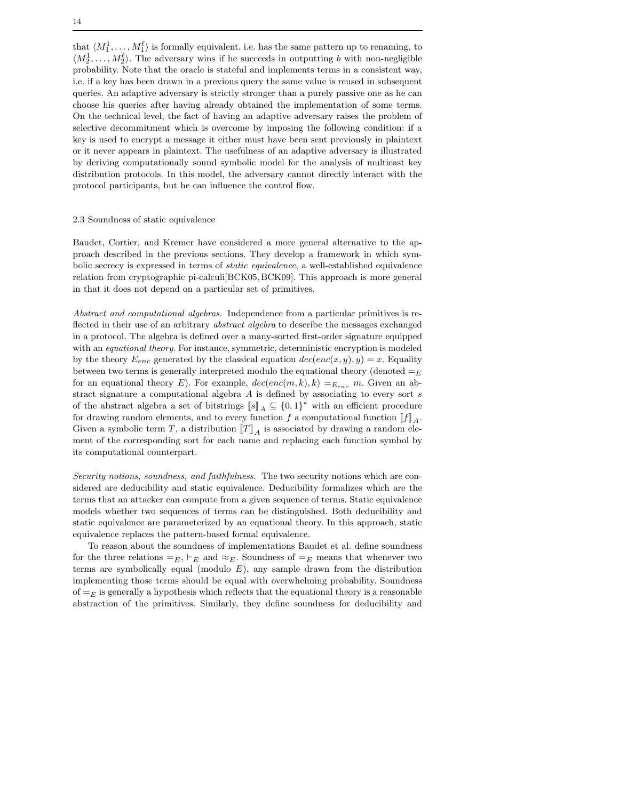that  $\langle M_1^1, \ldots, M_1^{\ell} \rangle$  is formally equivalent, i.e. has the same pattern up to renaming, to  $\langle M_2^1, \ldots, M_2^{\ell} \rangle$ . The adversary wins if he succeeds in outputting b with non-negligible probability. Note that the oracle is stateful and implements terms in a consistent way, i.e. if a key has been drawn in a previous query the same value is reused in subsequent queries. An adaptive adversary is strictly stronger than a purely passive one as he can choose his queries after having already obtained the implementation of some terms. On the technical level, the fact of having an adaptive adversary raises the problem of selective decommitment which is overcome by imposing the following condition: if a key is used to encrypt a message it either must have been sent previously in plaintext or it never appears in plaintext. The usefulness of an adaptive adversary is illustrated by deriving computationally sound symbolic model for the analysis of multicast key distribution protocols. In this model, the adversary cannot directly interact with the protocol participants, but he can influence the control flow.

## 2.3 Soundness of static equivalence

Baudet, Cortier, and Kremer have considered a more general alternative to the approach described in the previous sections. They develop a framework in which symbolic secrecy is expressed in terms of static equivalence, a well-established equivalence relation from cryptographic pi-calculi[BCK05,BCK09]. This approach is more general in that it does not depend on a particular set of primitives.

Abstract and computational algebras. Independence from a particular primitives is reflected in their use of an arbitrary abstract algebra to describe the messages exchanged in a protocol. The algebra is defined over a many-sorted first-order signature equipped with an *equational theory*. For instance, symmetric, deterministic encryption is modeled by the theory  $E_{enc}$  generated by the classical equation  $dec(enc(x, y), y) = x$ . Equality between two terms is generally interpreted modulo the equational theory (denoted  $=_E$ for an equational theory E). For example,  $dec(enc(m, k), k) =_{E_{enc}} m$ . Given an abstract signature a computational algebra A is defined by associating to every sort s of the abstract algebra a set of bitstrings  $[s]_A \subseteq \{0,1\}^*$  with an efficient procedure for drawing random elements, and to every function f a computational function  $\llbracket f \rrbracket$  A. Given a symbolic term T, a distribution  $\llbracket T \rrbracket_A$  is associated by drawing a random element of the corresponding sort for each name and replacing each function symbol by its computational counterpart.

Security notions, soundness, and faithfulness. The two security notions which are considered are deducibility and static equivalence. Deducibility formalizes which are the terms that an attacker can compute from a given sequence of terms. Static equivalence models whether two sequences of terms can be distinguished. Both deducibility and static equivalence are parameterized by an equational theory. In this approach, static equivalence replaces the pattern-based formal equivalence.

To reason about the soundness of implementations Baudet et al. define soundness for the three relations  $=$   $E$ ,  $\vdash$   $E$  and  $\approx$   $E$ . Soundness of  $=$   $E$  means that whenever two terms are symbolically equal (modulo  $E$ ), any sample drawn from the distribution implementing those terms should be equal with overwhelming probability. Soundness of  $=_E$  is generally a hypothesis which reflects that the equational theory is a reasonable abstraction of the primitives. Similarly, they define soundness for deducibility and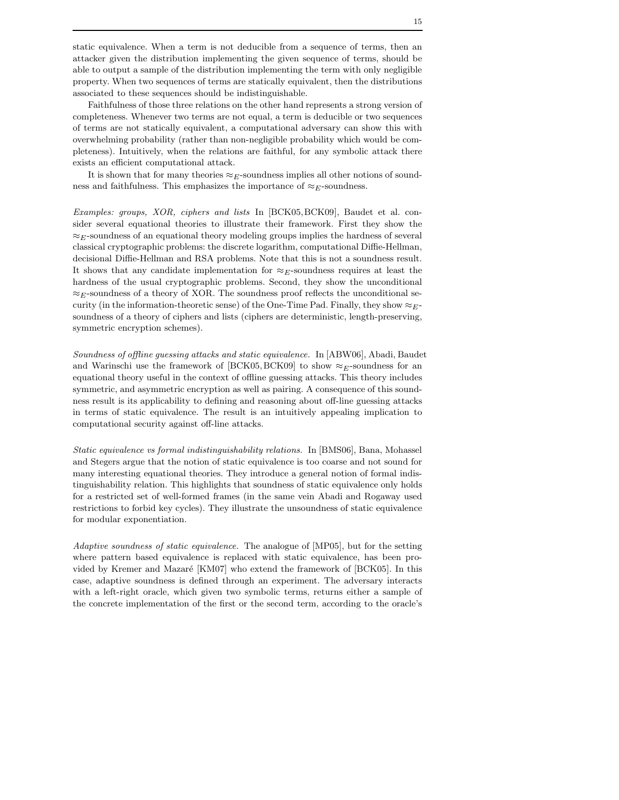static equivalence. When a term is not deducible from a sequence of terms, then an attacker given the distribution implementing the given sequence of terms, should be able to output a sample of the distribution implementing the term with only negligible property. When two sequences of terms are statically equivalent, then the distributions associated to these sequences should be indistinguishable.

Faithfulness of those three relations on the other hand represents a strong version of completeness. Whenever two terms are not equal, a term is deducible or two sequences of terms are not statically equivalent, a computational adversary can show this with overwhelming probability (rather than non-negligible probability which would be completeness). Intuitively, when the relations are faithful, for any symbolic attack there exists an efficient computational attack.

It is shown that for many theories  $\approx_E$ -soundness implies all other notions of soundness and faithfulness. This emphasizes the importance of  $\approx_E$ -soundness.

Examples: groups, XOR, ciphers and lists In [BCK05,BCK09], Baudet et al. consider several equational theories to illustrate their framework. First they show the  $\approx$ E-soundness of an equational theory modeling groups implies the hardness of several classical cryptographic problems: the discrete logarithm, computational Diffie-Hellman, decisional Diffie-Hellman and RSA problems. Note that this is not a soundness result. It shows that any candidate implementation for  $\approx_E$ -soundness requires at least the hardness of the usual cryptographic problems. Second, they show the unconditional  $\approx$ E-soundness of a theory of XOR. The soundness proof reflects the unconditional security (in the information-theoretic sense) of the One-Time Pad. Finally, they show  $\approx_E$ soundness of a theory of ciphers and lists (ciphers are deterministic, length-preserving, symmetric encryption schemes).

Soundness of offline guessing attacks and static equivalence. In [ABW06], Abadi, Baudet and Warinschi use the framework of [BCK05, BCK09] to show  $\approx_E$ -soundness for an equational theory useful in the context of offline guessing attacks. This theory includes symmetric, and asymmetric encryption as well as pairing. A consequence of this soundness result is its applicability to defining and reasoning about off-line guessing attacks in terms of static equivalence. The result is an intuitively appealing implication to computational security against off-line attacks.

Static equivalence vs formal indistinguishability relations. In [BMS06], Bana, Mohassel and Stegers argue that the notion of static equivalence is too coarse and not sound for many interesting equational theories. They introduce a general notion of formal indistinguishability relation. This highlights that soundness of static equivalence only holds for a restricted set of well-formed frames (in the same vein Abadi and Rogaway used restrictions to forbid key cycles). They illustrate the unsoundness of static equivalence for modular exponentiation.

Adaptive soundness of static equivalence. The analogue of [MP05], but for the setting where pattern based equivalence is replaced with static equivalence, has been provided by Kremer and Mazaré [KM07] who extend the framework of [BCK05]. In this case, adaptive soundness is defined through an experiment. The adversary interacts with a left-right oracle, which given two symbolic terms, returns either a sample of the concrete implementation of the first or the second term, according to the oracle's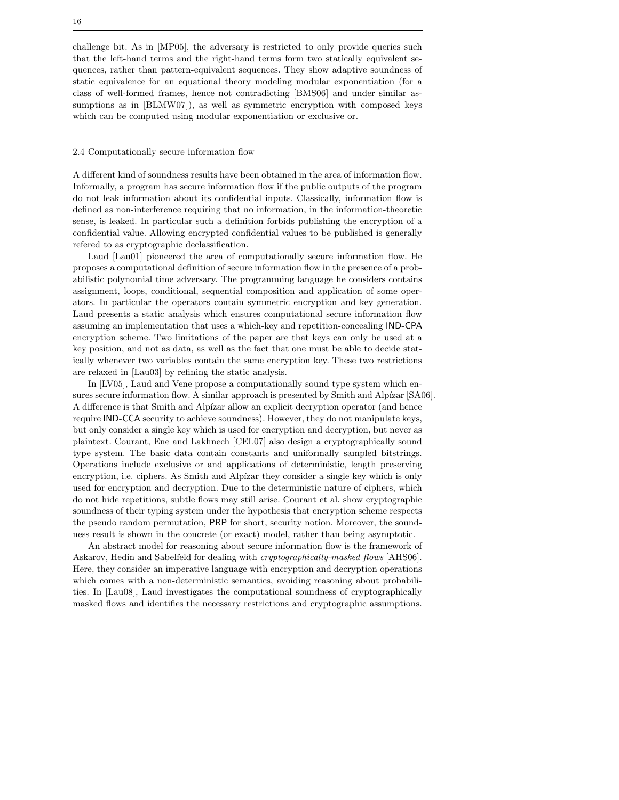16

challenge bit. As in [MP05], the adversary is restricted to only provide queries such that the left-hand terms and the right-hand terms form two statically equivalent sequences, rather than pattern-equivalent sequences. They show adaptive soundness of static equivalence for an equational theory modeling modular exponentiation (for a class of well-formed frames, hence not contradicting [BMS06] and under similar assumptions as in [BLMW07]), as well as symmetric encryption with composed keys which can be computed using modular exponentiation or exclusive or.

# 2.4 Computationally secure information flow

A different kind of soundness results have been obtained in the area of information flow. Informally, a program has secure information flow if the public outputs of the program do not leak information about its confidential inputs. Classically, information flow is defined as non-interference requiring that no information, in the information-theoretic sense, is leaked. In particular such a definition forbids publishing the encryption of a confidential value. Allowing encrypted confidential values to be published is generally refered to as cryptographic declassification.

Laud [Lau01] pioneered the area of computationally secure information flow. He proposes a computational definition of secure information flow in the presence of a probabilistic polynomial time adversary. The programming language he considers contains assignment, loops, conditional, sequential composition and application of some operators. In particular the operators contain symmetric encryption and key generation. Laud presents a static analysis which ensures computational secure information flow assuming an implementation that uses a which-key and repetition-concealing IND-CPA encryption scheme. Two limitations of the paper are that keys can only be used at a key position, and not as data, as well as the fact that one must be able to decide statically whenever two variables contain the same encryption key. These two restrictions are relaxed in [Lau03] by refining the static analysis.

In [LV05], Laud and Vene propose a computationally sound type system which ensures secure information flow. A similar approach is presented by Smith and Alpízar [SA06]. A difference is that Smith and Alpízar allow an explicit decryption operator (and hence require IND-CCA security to achieve soundness). However, they do not manipulate keys, but only consider a single key which is used for encryption and decryption, but never as plaintext. Courant, Ene and Lakhnech [CEL07] also design a cryptographically sound type system. The basic data contain constants and uniformally sampled bitstrings. Operations include exclusive or and applications of deterministic, length preserving encryption, i.e. ciphers. As Smith and Alpízar they consider a single key which is only used for encryption and decryption. Due to the deterministic nature of ciphers, which do not hide repetitions, subtle flows may still arise. Courant et al. show cryptographic soundness of their typing system under the hypothesis that encryption scheme respects the pseudo random permutation, PRP for short, security notion. Moreover, the soundness result is shown in the concrete (or exact) model, rather than being asymptotic.

An abstract model for reasoning about secure information flow is the framework of Askarov, Hedin and Sabelfeld for dealing with cryptographically-masked flows [AHS06]. Here, they consider an imperative language with encryption and decryption operations which comes with a non-deterministic semantics, avoiding reasoning about probabilities. In [Lau08], Laud investigates the computational soundness of cryptographically masked flows and identifies the necessary restrictions and cryptographic assumptions.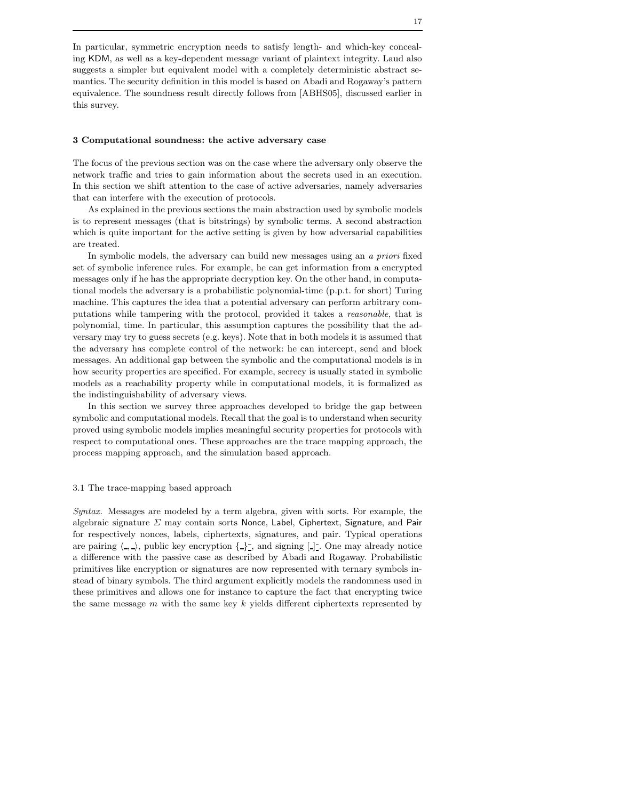In particular, symmetric encryption needs to satisfy length- and which-key concealing KDM, as well as a key-dependent message variant of plaintext integrity. Laud also suggests a simpler but equivalent model with a completely deterministic abstract semantics. The security definition in this model is based on Abadi and Rogaway's pattern equivalence. The soundness result directly follows from [ABHS05], discussed earlier in this survey.

#### 3 Computational soundness: the active adversary case

The focus of the previous section was on the case where the adversary only observe the network traffic and tries to gain information about the secrets used in an execution. In this section we shift attention to the case of active adversaries, namely adversaries that can interfere with the execution of protocols.

As explained in the previous sections the main abstraction used by symbolic models is to represent messages (that is bitstrings) by symbolic terms. A second abstraction which is quite important for the active setting is given by how adversarial capabilities are treated.

In symbolic models, the adversary can build new messages using an a priori fixed set of symbolic inference rules. For example, he can get information from a encrypted messages only if he has the appropriate decryption key. On the other hand, in computational models the adversary is a probabilistic polynomial-time (p.p.t. for short) Turing machine. This captures the idea that a potential adversary can perform arbitrary computations while tampering with the protocol, provided it takes a reasonable, that is polynomial, time. In particular, this assumption captures the possibility that the adversary may try to guess secrets (e.g. keys). Note that in both models it is assumed that the adversary has complete control of the network: he can intercept, send and block messages. An additional gap between the symbolic and the computational models is in how security properties are specified. For example, secrecy is usually stated in symbolic models as a reachability property while in computational models, it is formalized as the indistinguishability of adversary views.

In this section we survey three approaches developed to bridge the gap between symbolic and computational models. Recall that the goal is to understand when security proved using symbolic models implies meaningful security properties for protocols with respect to computational ones. These approaches are the trace mapping approach, the process mapping approach, and the simulation based approach.

## 3.1 The trace-mapping based approach

Syntax. Messages are modeled by a term algebra, given with sorts. For example, the algebraic signature  $\Sigma$  may contain sorts Nonce, Label, Ciphertext, Signature, and Pair for respectively nonces, labels, ciphertexts, signatures, and pair. Typical operations are pairing  $\langle \cdot, \cdot \rangle$ , public key encryption  $\{\cdot\}$ , and signing  $[\cdot]$ . One may already notice a difference with the passive case as described by Abadi and Rogaway. Probabilistic primitives like encryption or signatures are now represented with ternary symbols instead of binary symbols. The third argument explicitly models the randomness used in these primitives and allows one for instance to capture the fact that encrypting twice the same message  $m$  with the same key  $k$  yields different ciphertexts represented by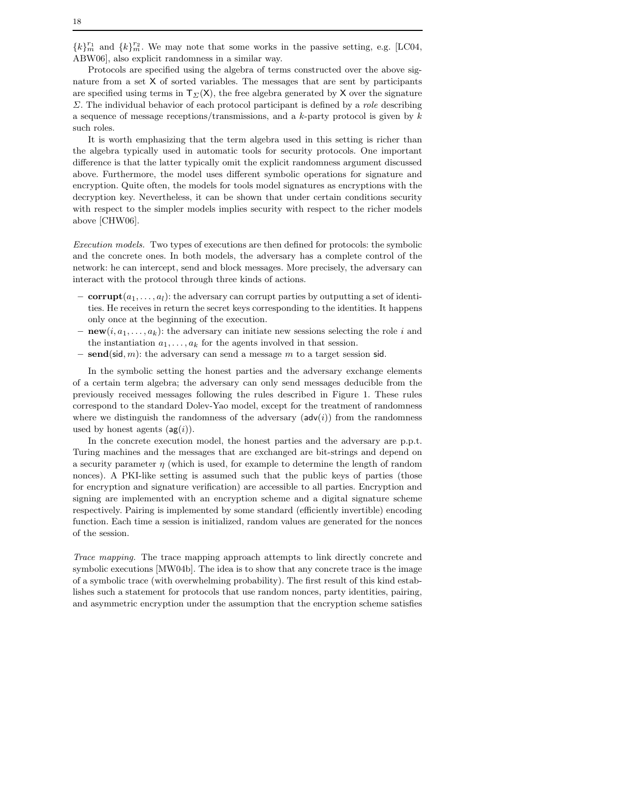${k}_{m}^{r_1}$  and  ${k}_{m}^{r_2}$ . We may note that some works in the passive setting, e.g. [LC04, ABW06], also explicit randomness in a similar way.

Protocols are specified using the algebra of terms constructed over the above signature from a set X of sorted variables. The messages that are sent by participants are specified using terms in  $T_{\Sigma}(X)$ , the free algebra generated by X over the signature  $\Sigma$ . The individual behavior of each protocol participant is defined by a *role* describing a sequence of message receptions/transmissions, and a  $k$ -party protocol is given by  $k$ such roles.

It is worth emphasizing that the term algebra used in this setting is richer than the algebra typically used in automatic tools for security protocols. One important difference is that the latter typically omit the explicit randomness argument discussed above. Furthermore, the model uses different symbolic operations for signature and encryption. Quite often, the models for tools model signatures as encryptions with the decryption key. Nevertheless, it can be shown that under certain conditions security with respect to the simpler models implies security with respect to the richer models above [CHW06].

Execution models. Two types of executions are then defined for protocols: the symbolic and the concrete ones. In both models, the adversary has a complete control of the network: he can intercept, send and block messages. More precisely, the adversary can interact with the protocol through three kinds of actions.

- $-$  corrupt $(a_1, \ldots, a_l)$ : the adversary can corrupt parties by outputting a set of identities. He receives in return the secret keys corresponding to the identities. It happens only once at the beginning of the execution.
- **new** $(i, a_1, \ldots, a_k)$ : the adversary can initiate new sessions selecting the role i and the instantiation  $a_1, \ldots, a_k$  for the agents involved in that session.
- send(sid, m): the adversary can send a message m to a target session sid.

In the symbolic setting the honest parties and the adversary exchange elements of a certain term algebra; the adversary can only send messages deducible from the previously received messages following the rules described in Figure 1. These rules correspond to the standard Dolev-Yao model, except for the treatment of randomness where we distinguish the randomness of the adversary  $(\text{adv}(i))$  from the randomness used by honest agents  $(ag(i))$ .

In the concrete execution model, the honest parties and the adversary are p.p.t. Turing machines and the messages that are exchanged are bit-strings and depend on a security parameter  $\eta$  (which is used, for example to determine the length of random nonces). A PKI-like setting is assumed such that the public keys of parties (those for encryption and signature verification) are accessible to all parties. Encryption and signing are implemented with an encryption scheme and a digital signature scheme respectively. Pairing is implemented by some standard (efficiently invertible) encoding function. Each time a session is initialized, random values are generated for the nonces of the session.

Trace mapping. The trace mapping approach attempts to link directly concrete and symbolic executions [MW04b]. The idea is to show that any concrete trace is the image of a symbolic trace (with overwhelming probability). The first result of this kind establishes such a statement for protocols that use random nonces, party identities, pairing, and asymmetric encryption under the assumption that the encryption scheme satisfies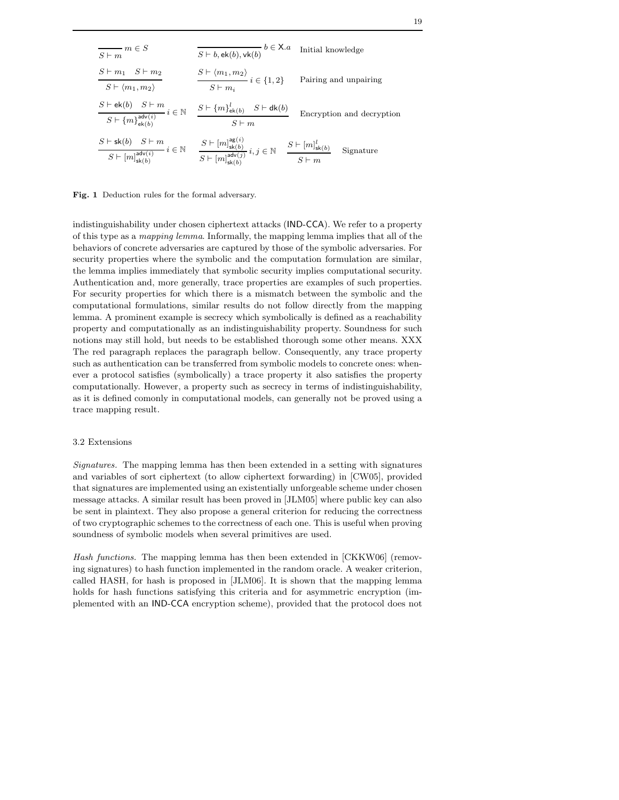$$
\begin{array}{ll}\n\hline\nS \vdash m \quad m \in S \\
S \vdash m_1 \quad S \vdash m_2 \\
S \vdash \langle m_1, m_2 \rangle\n\end{array}\n\qquad\n\begin{array}{ll}\nS \vdash b, \text{ek}(b), \text{vk}(b) \quad b \in X.a \quad \text{Initial knowledge} \\
S \vdash m_1 \quad S \vdash m_2 \\
S \vdash \langle m_1, m_2 \rangle\n\end{array}\n\qquad\n\begin{array}{ll}\nS \vdash \langle m_1, m_2 \rangle \\
S \vdash m_i \quad i \in \{1, 2\} \quad \text{Pairing and unpairing} \\
S \vdash \text{ek}(b) \quad S \vdash m \\
S \vdash \{m\}^{\text{adv}(i)}_{\text{ek}(b)} \quad S \vdash m\n\end{array}\n\qquad\n\begin{array}{ll}\nS \vdash \{m\}^l_{\text{ek}(b)} & S \vdash \text{dk}(b) \\
S \vdash m\n\end{array}\n\qquad\n\begin{array}{ll}\n\hline\nS \vdash m \end{array}\n\qquad\n\begin{array}{ll}\nS \vdash [m]^3_{\text{sk}(b)} & S \vdash m \\
\hline\nS \vdash [m]^3_{\text{sk}(b)}^{3 \text{adv}(i)} & i, j \in \mathbb{N}\n\end{array}\n\qquad\n\begin{array}{ll}\nS \vdash [m]^l_{\text{sk}(b)} \\
S \vdash m\n\end{array}\n\qquad\n\begin{array}{ll}\n\hline\nS \vdash m \end{array}\n\qquad\n\begin{array}{ll}\n\hline\nS \vdash m \end{array}\n\qquad\n\begin{array}{ll}\n\hline\nS \vdash m \end{array}\n\qquad\n\begin{array}{ll}\n\hline\nS \vdash m \end{array}\n\qquad\n\begin{array}{ll}\n\hline\nS \vdash m \end{array}\n\qquad\n\begin{array}{ll}\n\hline\nS \vdash m \end{array}\n\qquad\n\begin{array}{ll}\n\hline\n\end{array}\n\qquad\n\begin{array}{ll}\n\hline\n\end{array}\n\qquad\n\begin{array}{ll}\n\hline\n\end{array}\n\qquad\n\end{array}\n\qquad\n\begin{array}{ll}\n\hline\n\end{array}\n\qquad\n\begin{array}{ll}\n\hline\n\end{array}\n\qquad
$$

# Fig. 1 Deduction rules for the formal adversary.

indistinguishability under chosen ciphertext attacks (IND-CCA). We refer to a property of this type as a mapping lemma. Informally, the mapping lemma implies that all of the behaviors of concrete adversaries are captured by those of the symbolic adversaries. For security properties where the symbolic and the computation formulation are similar, the lemma implies immediately that symbolic security implies computational security. Authentication and, more generally, trace properties are examples of such properties. For security properties for which there is a mismatch between the symbolic and the computational formulations, similar results do not follow directly from the mapping lemma. A prominent example is secrecy which symbolically is defined as a reachability property and computationally as an indistinguishability property. Soundness for such notions may still hold, but needs to be established thorough some other means. XXX The red paragraph replaces the paragraph bellow. Consequently, any trace property such as authentication can be transferred from symbolic models to concrete ones: whenever a protocol satisfies (symbolically) a trace property it also satisfies the property computationally. However, a property such as secrecy in terms of indistinguishability, as it is defined comonly in computational models, can generally not be proved using a trace mapping result.

#### 3.2 Extensions

Signatures. The mapping lemma has then been extended in a setting with signatures and variables of sort ciphertext (to allow ciphertext forwarding) in [CW05], provided that signatures are implemented using an existentially unforgeable scheme under chosen message attacks. A similar result has been proved in [JLM05] where public key can also be sent in plaintext. They also propose a general criterion for reducing the correctness of two cryptographic schemes to the correctness of each one. This is useful when proving soundness of symbolic models when several primitives are used.

Hash functions. The mapping lemma has then been extended in [CKKW06] (removing signatures) to hash function implemented in the random oracle. A weaker criterion, called HASH, for hash is proposed in [JLM06]. It is shown that the mapping lemma holds for hash functions satisfying this criteria and for asymmetric encryption (implemented with an IND-CCA encryption scheme), provided that the protocol does not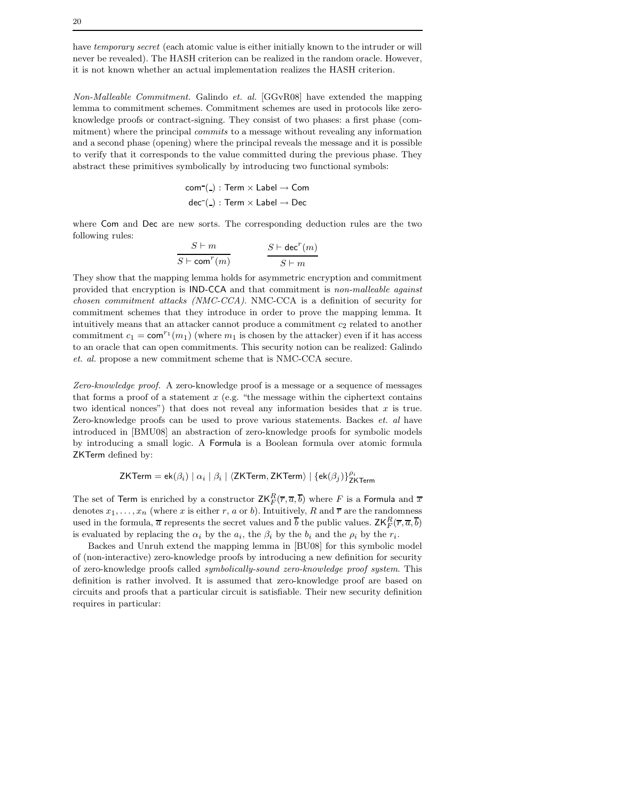have *temporary secret* (each atomic value is either initially known to the intruder or will never be revealed). The HASH criterion can be realized in the random oracle. However, it is not known whether an actual implementation realizes the HASH criterion.

Non-Malleable Commitment. Galindo et. al. [GGvR08] have extended the mapping lemma to commitment schemes. Commitment schemes are used in protocols like zeroknowledge proofs or contract-signing. They consist of two phases: a first phase (commitment) where the principal *commits* to a message without revealing any information and a second phase (opening) where the principal reveals the message and it is possible to verify that it corresponds to the value committed during the previous phase. They abstract these primitives symbolically by introducing two functional symbols:

$$
com^{-}(\_): Term \times Label \rightarrow Com
$$
  

$$
dec^{-}(\_): Term \times Label \rightarrow Dec
$$

where Com and Dec are new sorts. The corresponding deduction rules are the two following rules:

$$
\frac{S \vdash m}{S \vdash \textsf{com}^r(m)} \qquad \qquad \frac{S \vdash \textsf{dec}^r(m)}{S \vdash m}
$$

They show that the mapping lemma holds for asymmetric encryption and commitment provided that encryption is IND-CCA and that commitment is non-malleable against chosen commitment attacks (NMC-CCA). NMC-CCA is a definition of security for commitment schemes that they introduce in order to prove the mapping lemma. It intuitively means that an attacker cannot produce a commitment  $c_2$  related to another commitment  $c_1 = \text{com}^{r_1}(m_1)$  (where  $m_1$  is chosen by the attacker) even if it has access to an oracle that can open commitments. This security notion can be realized: Galindo et. al. propose a new commitment scheme that is NMC-CCA secure.

Zero-knowledge proof. A zero-knowledge proof is a message or a sequence of messages that forms a proof of a statement  $x$  (e.g. "the message within the ciphertext contains two identical nonces") that does not reveal any information besides that  $x$  is true. Zero-knowledge proofs can be used to prove various statements. Backes et. al have introduced in [BMU08] an abstraction of zero-knowledge proofs for symbolic models by introducing a small logic. A Formula is a Boolean formula over atomic formula ZKTerm defined by:

$$
\mathsf{ZKTerm} = \mathsf{ek}(\beta_i) \mid \alpha_i \mid \beta_i \mid \langle \mathsf{ZKTerm}, \mathsf{ZKTerm} \rangle \mid \{\mathsf{ek}(\beta_j)\}_{\mathsf{ZKTerm}}^{\rho_i}
$$

The set of Term is enriched by a constructor  $\mathsf{ZK}_F^R(\overline{r},\overline{a},\overline{b})$  where  $F$  is a Formula and  $\overline{x}$ denotes  $x_1, \ldots, x_n$  (where x is either r, a or b). Intuitively, R and  $\overline{r}$  are the randomness used in the formula,  $\overline{a}$  represents the secret values and  $\overline{b}$  the public values.  $\mathsf{ZK}_F^R(\overline{r}, \overline{a}, \overline{b})$ is evaluated by replacing the  $\alpha_i$  by the  $a_i$ , the  $\beta_i$  by the  $b_i$  and the  $\rho_i$  by the  $r_i$ .

Backes and Unruh extend the mapping lemma in [BU08] for this symbolic model of (non-interactive) zero-knowledge proofs by introducing a new definition for security of zero-knowledge proofs called symbolically-sound zero-knowledge proof system. This definition is rather involved. It is assumed that zero-knowledge proof are based on circuits and proofs that a particular circuit is satisfiable. Their new security definition requires in particular: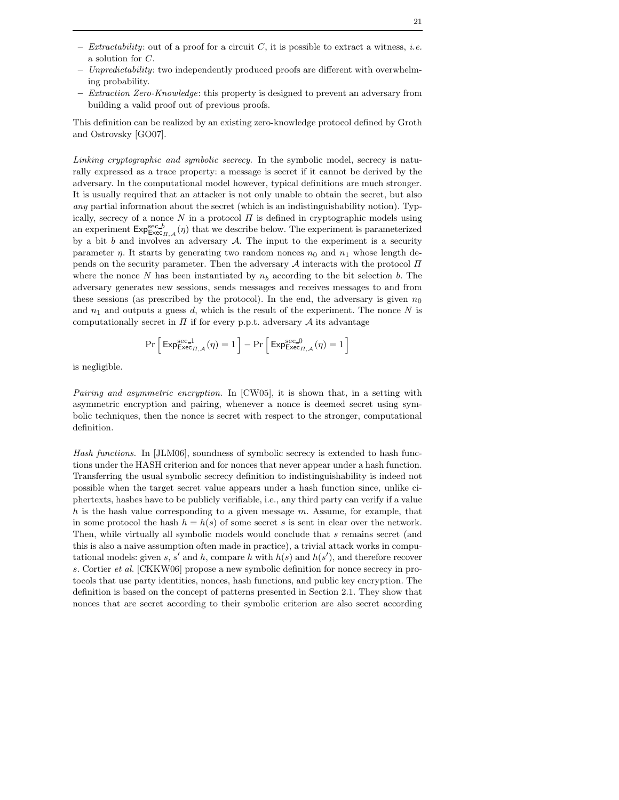- Extractability: out of a proof for a circuit C, it is possible to extract a witness, *i.e.* a solution for C.
- $-$  Unpredictability: two independently produced proofs are different with overwhelming probability.
- Extraction Zero-Knowledge: this property is designed to prevent an adversary from building a valid proof out of previous proofs.

This definition can be realized by an existing zero-knowledge protocol defined by Groth and Ostrovsky [GO07].

Linking cryptographic and symbolic secrecy. In the symbolic model, secrecy is naturally expressed as a trace property: a message is secret if it cannot be derived by the adversary. In the computational model however, typical definitions are much stronger. It is usually required that an attacker is not only unable to obtain the secret, but also any partial information about the secret (which is an indistinguishability notion). Typically, secrecy of a nonce N in a protocol  $\Pi$  is defined in cryptographic models using an experiment  $Exp_{\text{Exec}_{\Pi,A}}^{\text{sec}_{\Delta}}(\eta)$  that we describe below. The experiment is parameterized by a bit  $b$  and involves an adversary  $A$ . The input to the experiment is a security parameter  $\eta$ . It starts by generating two random nonces  $n_0$  and  $n_1$  whose length depends on the security parameter. Then the adversary  $\mathcal A$  interacts with the protocol  $\Pi$ where the nonce N has been instantiated by  $n_b$  according to the bit selection b. The adversary generates new sessions, sends messages and receives messages to and from these sessions (as prescribed by the protocol). In the end, the adversary is given  $n_0$ and  $n_1$  and outputs a guess d, which is the result of the experiment. The nonce N is computationally secret in  $\Pi$  if for every p.p.t. adversary  $A$  its advantage

$$
\Pr\Big[\mathsf{Exp}_{\mathsf{Exec}_{\Pi,\mathcal{A}}^{\mathsf{sec}\mathfrak{1}}}\big(\eta\big)=1\Big]-\Pr\Big[\mathsf{Exp}_{\mathsf{Exec}_{\Pi,\mathcal{A}}^{\mathsf{sec}\mathfrak{0}}}\big(\eta\big)=1\Big]
$$

is negligible.

Pairing and asymmetric encryption. In [CW05], it is shown that, in a setting with asymmetric encryption and pairing, whenever a nonce is deemed secret using symbolic techniques, then the nonce is secret with respect to the stronger, computational definition.

Hash functions. In [JLM06], soundness of symbolic secrecy is extended to hash functions under the HASH criterion and for nonces that never appear under a hash function. Transferring the usual symbolic secrecy definition to indistinguishability is indeed not possible when the target secret value appears under a hash function since, unlike ciphertexts, hashes have to be publicly verifiable, i.e., any third party can verify if a value  $h$  is the hash value corresponding to a given message  $m$ . Assume, for example, that in some protocol the hash  $h = h(s)$  of some secret s is sent in clear over the network. Then, while virtually all symbolic models would conclude that s remains secret (and this is also a naive assumption often made in practice), a trivial attack works in computational models: given s, s' and h, compare h with  $h(s)$  and  $h(s')$ , and therefore recover s. Cortier et al. [CKKW06] propose a new symbolic definition for nonce secrecy in protocols that use party identities, nonces, hash functions, and public key encryption. The definition is based on the concept of patterns presented in Section 2.1. They show that nonces that are secret according to their symbolic criterion are also secret according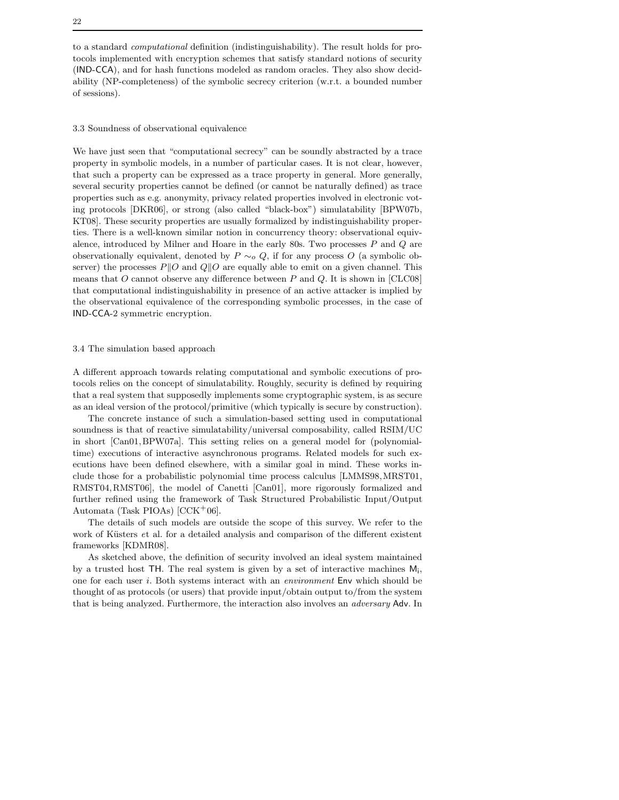to a standard computational definition (indistinguishability). The result holds for protocols implemented with encryption schemes that satisfy standard notions of security (IND-CCA), and for hash functions modeled as random oracles. They also show decidability (NP-completeness) of the symbolic secrecy criterion (w.r.t. a bounded number of sessions).

## 3.3 Soundness of observational equivalence

We have just seen that "computational secrecy" can be soundly abstracted by a trace property in symbolic models, in a number of particular cases. It is not clear, however, that such a property can be expressed as a trace property in general. More generally, several security properties cannot be defined (or cannot be naturally defined) as trace properties such as e.g. anonymity, privacy related properties involved in electronic voting protocols [DKR06], or strong (also called "black-box") simulatability [BPW07b, KT08]. These security properties are usually formalized by indistinguishability properties. There is a well-known similar notion in concurrency theory: observational equivalence, introduced by Milner and Hoare in the early 80s. Two processes  $P$  and  $Q$  are observationally equivalent, denoted by  $P \sim_o Q$ , if for any process O (a symbolic observer) the processes  $P||O$  and  $Q||O$  are equally able to emit on a given channel. This means that O cannot observe any difference between P and Q. It is shown in  $[CLCO8]$ that computational indistinguishability in presence of an active attacker is implied by the observational equivalence of the corresponding symbolic processes, in the case of IND-CCA-2 symmetric encryption.

## 3.4 The simulation based approach

A different approach towards relating computational and symbolic executions of protocols relies on the concept of simulatability. Roughly, security is defined by requiring that a real system that supposedly implements some cryptographic system, is as secure as an ideal version of the protocol/primitive (which typically is secure by construction).

The concrete instance of such a simulation-based setting used in computational soundness is that of reactive simulatability/universal composability, called RSIM/UC in short [Can01,BPW07a]. This setting relies on a general model for (polynomialtime) executions of interactive asynchronous programs. Related models for such executions have been defined elsewhere, with a similar goal in mind. These works include those for a probabilistic polynomial time process calculus [LMMS98,MRST01, RMST04,RMST06], the model of Canetti [Can01], more rigorously formalized and further refined using the framework of Task Structured Probabilistic Input/Output Automata (Task PIOAs)  $[CCK<sup>+</sup>06]$ .

The details of such models are outside the scope of this survey. We refer to the work of Küsters et al. for a detailed analysis and comparison of the different existent frameworks [KDMR08].

As sketched above, the definition of security involved an ideal system maintained by a trusted host  $TH$ . The real system is given by a set of interactive machines  $M_i$ , one for each user i. Both systems interact with an environment Env which should be thought of as protocols (or users) that provide input/obtain output to/from the system that is being analyzed. Furthermore, the interaction also involves an adversary Adv. In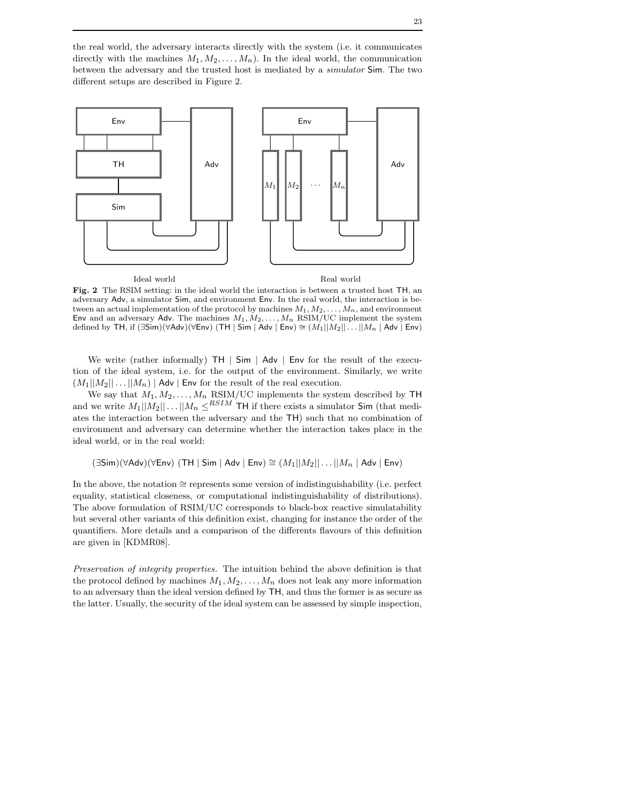the real world, the adversary interacts directly with the system (i.e. it communicates directly with the machines  $M_1, M_2, \ldots, M_n$ ). In the ideal world, the communication between the adversary and the trusted host is mediated by a simulator Sim. The two different setups are described in Figure 2.



Fig. 2 The RSIM setting: in the ideal world the interaction is between a trusted host TH, an adversary Adv, a simulator Sim, and environment Env. In the real world, the interaction is between an actual implementation of the protocol by machines  $M_1, M_2, \ldots, M_n$ , and environment Env and an adversary Adv. The machines  $M_1, M_2, \ldots, M_n$  RSIM/UC implement the system defined by TH, if  $(∃Sim)(∀Adv)(∀Env)$  (TH | Sim | Adv | Env)  $\cong (M_1||M_2||...||M_n$  | Adv | Env)

We write (rather informally)  $TH \mid$  Sim  $\mid$  Adv  $\mid$  Env for the result of the execution of the ideal system, i.e. for the output of the environment. Similarly, we write  $(M_1||M_2||...||M_n)$  | Adv | Env for the result of the real execution.

We say that  $M_1, M_2, \ldots, M_n$  RSIM/UC implements the system described by TH and we write  $M_1||M_2|| \ldots ||M_n \leq^{RSIM}$  TH if there exists a simulator Sim (that mediates the interaction between the adversary and the TH) such that no combination of environment and adversary can determine whether the interaction takes place in the ideal world, or in the real world:

 $(∃Sim)(∀Adv)(∀Env)$  (TH | Sim | Adv | Env)  $cong (M_1||M_2||...||M_n$  | Adv | Env)

In the above, the notation ∼= represents some version of indistinguishability (i.e. perfect equality, statistical closeness, or computational indistinguishability of distributions). The above formulation of RSIM/UC corresponds to black-box reactive simulatability but several other variants of this definition exist, changing for instance the order of the quantifiers. More details and a comparison of the differents flavours of this definition are given in [KDMR08].

Preservation of integrity properties. The intuition behind the above definition is that the protocol defined by machines  $M_1, M_2, \ldots, M_n$  does not leak any more information to an adversary than the ideal version defined by TH, and thus the former is as secure as the latter. Usually, the security of the ideal system can be assessed by simple inspection,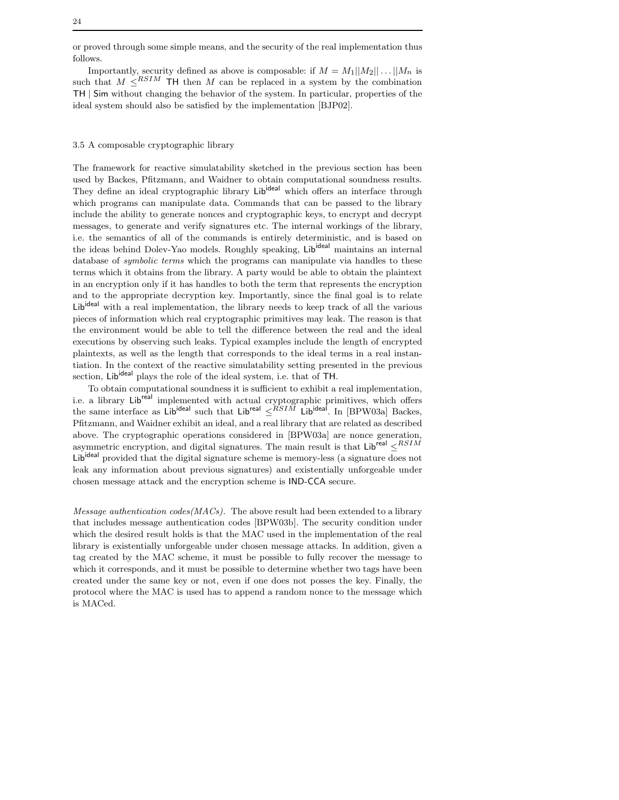or proved through some simple means, and the security of the real implementation thus follows.

Importantly, security defined as above is composable: if  $M = M_1||M_2|| \dots ||M_n$  is such that  $M \leq R^{SIM}$  TH then M can be replaced in a system by the combination TH | Sim without changing the behavior of the system. In particular, properties of the ideal system should also be satisfied by the implementation [BJP02].

# 3.5 A composable cryptographic library

The framework for reactive simulatability sketched in the previous section has been used by Backes, Pfitzmann, and Waidner to obtain computational soundness results. They define an ideal cryptographic library Lib<sup>ideal</sup> which offers an interface through which programs can manipulate data. Commands that can be passed to the library include the ability to generate nonces and cryptographic keys, to encrypt and decrypt messages, to generate and verify signatures etc. The internal workings of the library, i.e. the semantics of all of the commands is entirely deterministic, and is based on the ideas behind Dolev-Yao models. Roughly speaking, Lib<sup>ideal</sup> maintains an internal database of *symbolic terms* which the programs can manipulate via handles to these terms which it obtains from the library. A party would be able to obtain the plaintext in an encryption only if it has handles to both the term that represents the encryption and to the appropriate decryption key. Importantly, since the final goal is to relate Lib<sup>ideal</sup> with a real implementation, the library needs to keep track of all the various pieces of information which real cryptographic primitives may leak. The reason is that the environment would be able to tell the difference between the real and the ideal executions by observing such leaks. Typical examples include the length of encrypted plaintexts, as well as the length that corresponds to the ideal terms in a real instantiation. In the context of the reactive simulatability setting presented in the previous section, Lib<sup>ideal</sup> plays the role of the ideal system, i.e. that of TH.

To obtain computational soundness it is sufficient to exhibit a real implementation, i.e. a library Lib<sup>real</sup> implemented with actual cryptographic primitives, which offers the same interface as Lib<sup>ideal</sup> such that Lib<sup>real</sup>  $\leq^{RSIM}$  Lib<sup>ideal</sup>. In [BPW03a] Backes, Pfitzmann, and Waidner exhibit an ideal, and a real library that are related as described above. The cryptographic operations considered in [BPW03a] are nonce generation, asymmetric encryption, and digital signatures. The main result is that Lib<sup>real</sup>  $\leq^{RSIM}$ Lib<sup>ideal</sup> provided that the digital signature scheme is memory-less (a signature does not leak any information about previous signatures) and existentially unforgeable under chosen message attack and the encryption scheme is IND-CCA secure.

*Message authentication codes*( $MACs$ ). The above result had been extended to a library that includes message authentication codes [BPW03b]. The security condition under which the desired result holds is that the MAC used in the implementation of the real library is existentially unforgeable under chosen message attacks. In addition, given a tag created by the MAC scheme, it must be possible to fully recover the message to which it corresponds, and it must be possible to determine whether two tags have been created under the same key or not, even if one does not posses the key. Finally, the protocol where the MAC is used has to append a random nonce to the message which is MACed.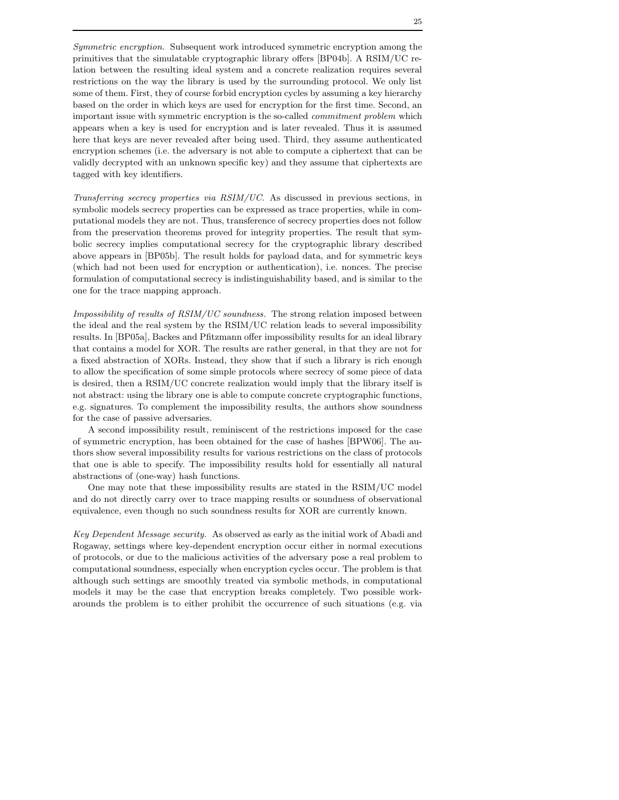Symmetric encryption. Subsequent work introduced symmetric encryption among the primitives that the simulatable cryptographic library offers [BP04b]. A RSIM/UC relation between the resulting ideal system and a concrete realization requires several restrictions on the way the library is used by the surrounding protocol. We only list some of them. First, they of course forbid encryption cycles by assuming a key hierarchy based on the order in which keys are used for encryption for the first time. Second, an important issue with symmetric encryption is the so-called commitment problem which appears when a key is used for encryption and is later revealed. Thus it is assumed here that keys are never revealed after being used. Third, they assume authenticated encryption schemes (i.e. the adversary is not able to compute a ciphertext that can be validly decrypted with an unknown specific key) and they assume that ciphertexts are tagged with key identifiers.

Transferring secrecy properties via RSIM/UC. As discussed in previous sections, in symbolic models secrecy properties can be expressed as trace properties, while in computational models they are not. Thus, transference of secrecy properties does not follow from the preservation theorems proved for integrity properties. The result that symbolic secrecy implies computational secrecy for the cryptographic library described above appears in [BP05b]. The result holds for payload data, and for symmetric keys (which had not been used for encryption or authentication), i.e. nonces. The precise formulation of computational secrecy is indistinguishability based, and is similar to the one for the trace mapping approach.

Impossibility of results of RSIM/UC soundness. The strong relation imposed between the ideal and the real system by the RSIM/UC relation leads to several impossibility results. In [BP05a], Backes and Pfitzmann offer impossibility results for an ideal library that contains a model for XOR. The results are rather general, in that they are not for a fixed abstraction of XORs. Instead, they show that if such a library is rich enough to allow the specification of some simple protocols where secrecy of some piece of data is desired, then a RSIM/UC concrete realization would imply that the library itself is not abstract: using the library one is able to compute concrete cryptographic functions, e.g. signatures. To complement the impossibility results, the authors show soundness for the case of passive adversaries.

A second impossibility result, reminiscent of the restrictions imposed for the case of symmetric encryption, has been obtained for the case of hashes [BPW06]. The authors show several impossibility results for various restrictions on the class of protocols that one is able to specify. The impossibility results hold for essentially all natural abstractions of (one-way) hash functions.

One may note that these impossibility results are stated in the RSIM/UC model and do not directly carry over to trace mapping results or soundness of observational equivalence, even though no such soundness results for XOR are currently known.

Key Dependent Message security. As observed as early as the initial work of Abadi and Rogaway, settings where key-dependent encryption occur either in normal executions of protocols, or due to the malicious activities of the adversary pose a real problem to computational soundness, especially when encryption cycles occur. The problem is that although such settings are smoothly treated via symbolic methods, in computational models it may be the case that encryption breaks completely. Two possible workarounds the problem is to either prohibit the occurrence of such situations (e.g. via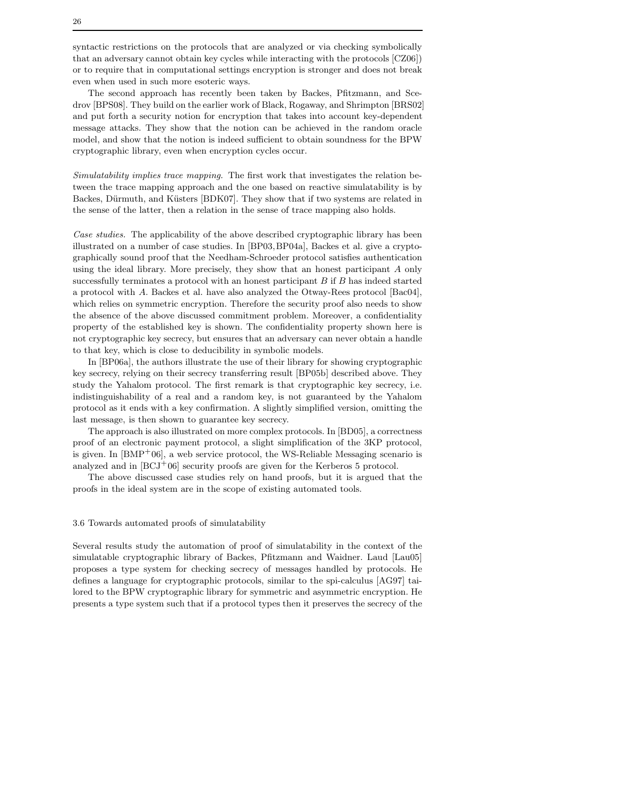syntactic restrictions on the protocols that are analyzed or via checking symbolically that an adversary cannot obtain key cycles while interacting with the protocols [CZ06]) or to require that in computational settings encryption is stronger and does not break even when used in such more esoteric ways.

The second approach has recently been taken by Backes, Pfitzmann, and Scedrov [BPS08]. They build on the earlier work of Black, Rogaway, and Shrimpton [BRS02] and put forth a security notion for encryption that takes into account key-dependent message attacks. They show that the notion can be achieved in the random oracle model, and show that the notion is indeed sufficient to obtain soundness for the BPW cryptographic library, even when encryption cycles occur.

Simulatability implies trace mapping. The first work that investigates the relation between the trace mapping approach and the one based on reactive simulatability is by Backes, Dürmuth, and Küsters [BDK07]. They show that if two systems are related in the sense of the latter, then a relation in the sense of trace mapping also holds.

Case studies. The applicability of the above described cryptographic library has been illustrated on a number of case studies. In [BP03,BP04a], Backes et al. give a cryptographically sound proof that the Needham-Schroeder protocol satisfies authentication using the ideal library. More precisely, they show that an honest participant A only successfully terminates a protocol with an honest participant  $B$  if  $B$  has indeed started a protocol with A. Backes et al. have also analyzed the Otway-Rees protocol [Bac04], which relies on symmetric encryption. Therefore the security proof also needs to show the absence of the above discussed commitment problem. Moreover, a confidentiality property of the established key is shown. The confidentiality property shown here is not cryptographic key secrecy, but ensures that an adversary can never obtain a handle to that key, which is close to deducibility in symbolic models.

In [BP06a], the authors illustrate the use of their library for showing cryptographic key secrecy, relying on their secrecy transferring result [BP05b] described above. They study the Yahalom protocol. The first remark is that cryptographic key secrecy, i.e. indistinguishability of a real and a random key, is not guaranteed by the Yahalom protocol as it ends with a key confirmation. A slightly simplified version, omitting the last message, is then shown to guarantee key secrecy.

The approach is also illustrated on more complex protocols. In [BD05], a correctness proof of an electronic payment protocol, a slight simplification of the 3KP protocol, is given. In  $[BMP<sup>+</sup>06]$ , a web service protocol, the WS-Reliable Messaging scenario is analyzed and in  $[BCJ^+06]$  security proofs are given for the Kerberos 5 protocol.

The above discussed case studies rely on hand proofs, but it is argued that the proofs in the ideal system are in the scope of existing automated tools.

# 3.6 Towards automated proofs of simulatability

Several results study the automation of proof of simulatability in the context of the simulatable cryptographic library of Backes, Pfitzmann and Waidner. Laud [Lau05] proposes a type system for checking secrecy of messages handled by protocols. He defines a language for cryptographic protocols, similar to the spi-calculus [AG97] tailored to the BPW cryptographic library for symmetric and asymmetric encryption. He presents a type system such that if a protocol types then it preserves the secrecy of the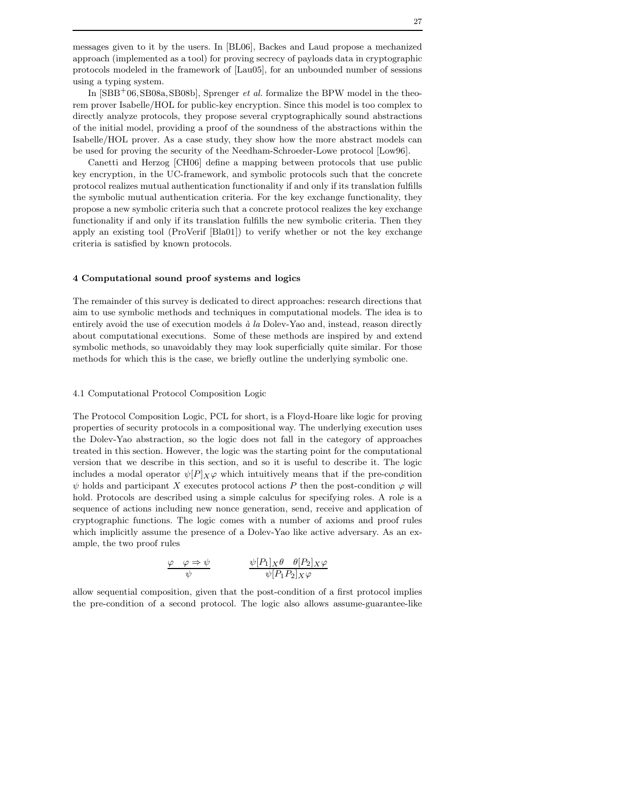messages given to it by the users. In [BL06], Backes and Laud propose a mechanized approach (implemented as a tool) for proving secrecy of payloads data in cryptographic protocols modeled in the framework of [Lau05], for an unbounded number of sessions using a typing system.

In  $[SBB<sup>+</sup>06, SB08a, SB08b]$ , Sprenger *et al.* formalize the BPW model in the theorem prover Isabelle/HOL for public-key encryption. Since this model is too complex to directly analyze protocols, they propose several cryptographically sound abstractions of the initial model, providing a proof of the soundness of the abstractions within the Isabelle/HOL prover. As a case study, they show how the more abstract models can be used for proving the security of the Needham-Schroeder-Lowe protocol [Low96].

Canetti and Herzog [CH06] define a mapping between protocols that use public key encryption, in the UC-framework, and symbolic protocols such that the concrete protocol realizes mutual authentication functionality if and only if its translation fulfills the symbolic mutual authentication criteria. For the key exchange functionality, they propose a new symbolic criteria such that a concrete protocol realizes the key exchange functionality if and only if its translation fulfills the new symbolic criteria. Then they apply an existing tool (ProVerif [Bla01]) to verify whether or not the key exchange criteria is satisfied by known protocols.

# 4 Computational sound proof systems and logics

The remainder of this survey is dedicated to direct approaches: research directions that aim to use symbolic methods and techniques in computational models. The idea is to entirely avoid the use of execution models  $\dot{a}$  la Dolev-Yao and, instead, reason directly about computational executions. Some of these methods are inspired by and extend symbolic methods, so unavoidably they may look superficially quite similar. For those methods for which this is the case, we briefly outline the underlying symbolic one.

## 4.1 Computational Protocol Composition Logic

The Protocol Composition Logic, PCL for short, is a Floyd-Hoare like logic for proving properties of security protocols in a compositional way. The underlying execution uses the Dolev-Yao abstraction, so the logic does not fall in the category of approaches treated in this section. However, the logic was the starting point for the computational version that we describe in this section, and so it is useful to describe it. The logic includes a modal operator  $\psi[P]_X\varphi$  which intuitively means that if the pre-condition  $\psi$  holds and participant X executes protocol actions P then the post-condition  $\varphi$  will hold. Protocols are described using a simple calculus for specifying roles. A role is a sequence of actions including new nonce generation, send, receive and application of cryptographic functions. The logic comes with a number of axioms and proof rules which implicitly assume the presence of a Dolev-Yao like active adversary. As an example, the two proof rules

$$
\frac{\varphi \quad \varphi \Rightarrow \psi}{\psi} \qquad \qquad \frac{\psi[P_1]_X \theta \quad \theta[P_2]_X \varphi}{\psi[P_1 P_2]_X \varphi}
$$

allow sequential composition, given that the post-condition of a first protocol implies the pre-condition of a second protocol. The logic also allows assume-guarantee-like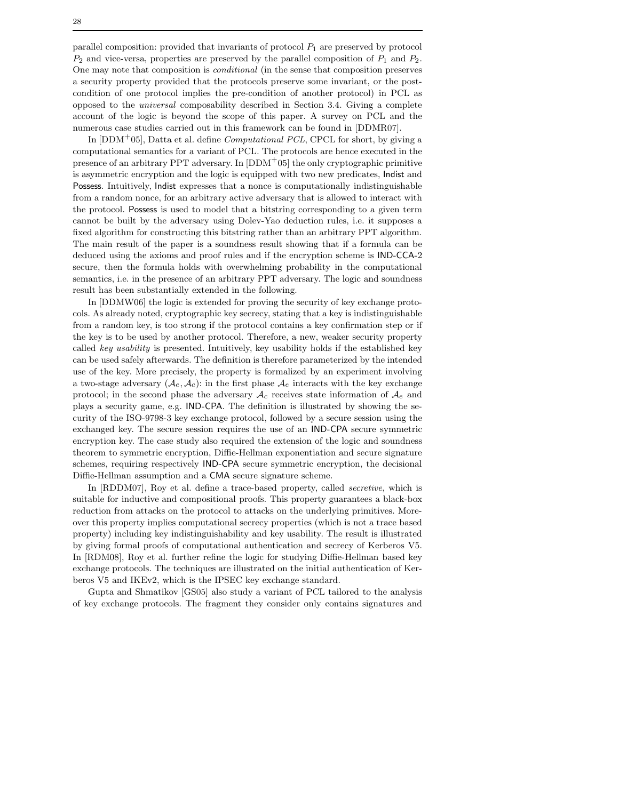parallel composition: provided that invariants of protocol  $P_1$  are preserved by protocol  $P_2$  and vice-versa, properties are preserved by the parallel composition of  $P_1$  and  $P_2$ . One may note that composition is conditional (in the sense that composition preserves a security property provided that the protocols preserve some invariant, or the postcondition of one protocol implies the pre-condition of another protocol) in PCL as opposed to the universal composability described in Section 3.4. Giving a complete account of the logic is beyond the scope of this paper. A survey on PCL and the numerous case studies carried out in this framework can be found in [DDMR07].

In  $[DDM<sup>+</sup>05]$ , Datta et al. define *Computational PCL*, CPCL for short, by giving a computational semantics for a variant of PCL. The protocols are hence executed in the presence of an arbitrary PPT adversary. In  $[DDM<sup>+</sup>05]$  the only cryptographic primitive is asymmetric encryption and the logic is equipped with two new predicates, Indist and Possess. Intuitively, Indist expresses that a nonce is computationally indistinguishable from a random nonce, for an arbitrary active adversary that is allowed to interact with the protocol. Possess is used to model that a bitstring corresponding to a given term cannot be built by the adversary using Dolev-Yao deduction rules, i.e. it supposes a fixed algorithm for constructing this bitstring rather than an arbitrary PPT algorithm. The main result of the paper is a soundness result showing that if a formula can be deduced using the axioms and proof rules and if the encryption scheme is IND-CCA-2 secure, then the formula holds with overwhelming probability in the computational semantics, i.e. in the presence of an arbitrary PPT adversary. The logic and soundness result has been substantially extended in the following.

In [DDMW06] the logic is extended for proving the security of key exchange protocols. As already noted, cryptographic key secrecy, stating that a key is indistinguishable from a random key, is too strong if the protocol contains a key confirmation step or if the key is to be used by another protocol. Therefore, a new, weaker security property called key usability is presented. Intuitively, key usability holds if the established key can be used safely afterwards. The definition is therefore parameterized by the intended use of the key. More precisely, the property is formalized by an experiment involving a two-stage adversary  $(A_e, A_c)$ : in the first phase  $A_e$  interacts with the key exchange protocol; in the second phase the adversary  $\mathcal{A}_c$  receives state information of  $\mathcal{A}_e$  and plays a security game, e.g. IND-CPA. The definition is illustrated by showing the security of the ISO-9798-3 key exchange protocol, followed by a secure session using the exchanged key. The secure session requires the use of an IND-CPA secure symmetric encryption key. The case study also required the extension of the logic and soundness theorem to symmetric encryption, Diffie-Hellman exponentiation and secure signature schemes, requiring respectively IND-CPA secure symmetric encryption, the decisional Diffie-Hellman assumption and a CMA secure signature scheme.

In [RDDM07], Roy et al. define a trace-based property, called secretive, which is suitable for inductive and compositional proofs. This property guarantees a black-box reduction from attacks on the protocol to attacks on the underlying primitives. Moreover this property implies computational secrecy properties (which is not a trace based property) including key indistinguishability and key usability. The result is illustrated by giving formal proofs of computational authentication and secrecy of Kerberos V5. In [RDM08], Roy et al. further refine the logic for studying Diffie-Hellman based key exchange protocols. The techniques are illustrated on the initial authentication of Kerberos V5 and IKEv2, which is the IPSEC key exchange standard.

Gupta and Shmatikov [GS05] also study a variant of PCL tailored to the analysis of key exchange protocols. The fragment they consider only contains signatures and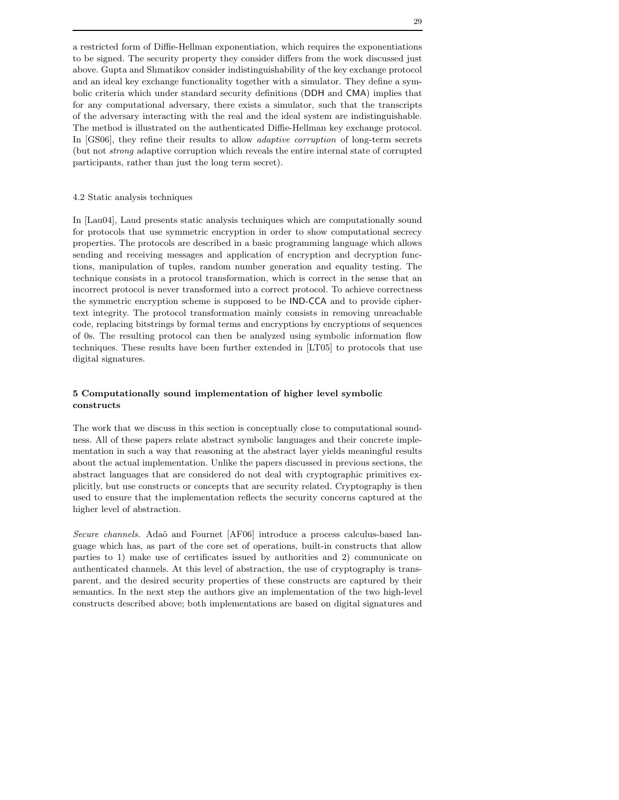a restricted form of Diffie-Hellman exponentiation, which requires the exponentiations to be signed. The security property they consider differs from the work discussed just above. Gupta and Shmatikov consider indistinguishability of the key exchange protocol and an ideal key exchange functionality together with a simulator. They define a symbolic criteria which under standard security definitions (DDH and CMA) implies that for any computational adversary, there exists a simulator, such that the transcripts of the adversary interacting with the real and the ideal system are indistinguishable. The method is illustrated on the authenticated Diffie-Hellman key exchange protocol. In [GS06], they refine their results to allow *adaptive corruption* of long-term secrets (but not strong adaptive corruption which reveals the entire internal state of corrupted participants, rather than just the long term secret).

# 4.2 Static analysis techniques

In [Lau04], Laud presents static analysis techniques which are computationally sound for protocols that use symmetric encryption in order to show computational secrecy properties. The protocols are described in a basic programming language which allows sending and receiving messages and application of encryption and decryption functions, manipulation of tuples, random number generation and equality testing. The technique consists in a protocol transformation, which is correct in the sense that an incorrect protocol is never transformed into a correct protocol. To achieve correctness the symmetric encryption scheme is supposed to be IND-CCA and to provide ciphertext integrity. The protocol transformation mainly consists in removing unreachable code, replacing bitstrings by formal terms and encryptions by encryptions of sequences of 0s. The resulting protocol can then be analyzed using symbolic information flow techniques. These results have been further extended in [LT05] to protocols that use digital signatures.

# 5 Computationally sound implementation of higher level symbolic constructs

The work that we discuss in this section is conceptually close to computational soundness. All of these papers relate abstract symbolic languages and their concrete implementation in such a way that reasoning at the abstract layer yields meaningful results about the actual implementation. Unlike the papers discussed in previous sections, the abstract languages that are considered do not deal with cryptographic primitives explicitly, but use constructs or concepts that are security related. Cryptography is then used to ensure that the implementation reflects the security concerns captured at the higher level of abstraction.

Secure channels. Adaõ and Fournet [AF06] introduce a process calculus-based language which has, as part of the core set of operations, built-in constructs that allow parties to 1) make use of certificates issued by authorities and 2) communicate on authenticated channels. At this level of abstraction, the use of cryptography is transparent, and the desired security properties of these constructs are captured by their semantics. In the next step the authors give an implementation of the two high-level constructs described above; both implementations are based on digital signatures and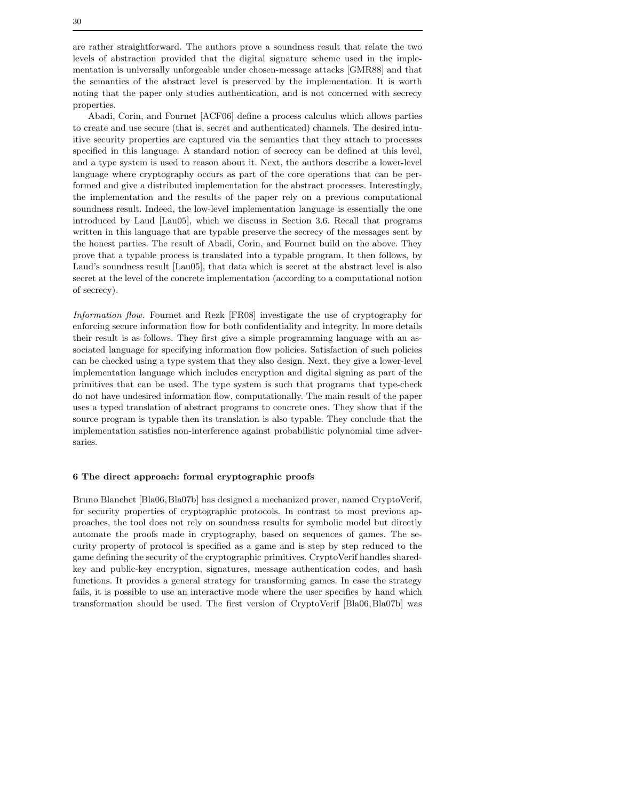are rather straightforward. The authors prove a soundness result that relate the two levels of abstraction provided that the digital signature scheme used in the implementation is universally unforgeable under chosen-message attacks [GMR88] and that the semantics of the abstract level is preserved by the implementation. It is worth noting that the paper only studies authentication, and is not concerned with secrecy properties.

Abadi, Corin, and Fournet [ACF06] define a process calculus which allows parties to create and use secure (that is, secret and authenticated) channels. The desired intuitive security properties are captured via the semantics that they attach to processes specified in this language. A standard notion of secrecy can be defined at this level, and a type system is used to reason about it. Next, the authors describe a lower-level language where cryptography occurs as part of the core operations that can be performed and give a distributed implementation for the abstract processes. Interestingly, the implementation and the results of the paper rely on a previous computational soundness result. Indeed, the low-level implementation language is essentially the one introduced by Laud [Lau05], which we discuss in Section 3.6. Recall that programs written in this language that are typable preserve the secrecy of the messages sent by the honest parties. The result of Abadi, Corin, and Fournet build on the above. They prove that a typable process is translated into a typable program. It then follows, by Laud's soundness result [Lau05], that data which is secret at the abstract level is also secret at the level of the concrete implementation (according to a computational notion of secrecy).

Information flow. Fournet and Rezk [FR08] investigate the use of cryptography for enforcing secure information flow for both confidentiality and integrity. In more details their result is as follows. They first give a simple programming language with an associated language for specifying information flow policies. Satisfaction of such policies can be checked using a type system that they also design. Next, they give a lower-level implementation language which includes encryption and digital signing as part of the primitives that can be used. The type system is such that programs that type-check do not have undesired information flow, computationally. The main result of the paper uses a typed translation of abstract programs to concrete ones. They show that if the source program is typable then its translation is also typable. They conclude that the implementation satisfies non-interference against probabilistic polynomial time adversaries.

# 6 The direct approach: formal cryptographic proofs

Bruno Blanchet [Bla06,Bla07b] has designed a mechanized prover, named CryptoVerif, for security properties of cryptographic protocols. In contrast to most previous approaches, the tool does not rely on soundness results for symbolic model but directly automate the proofs made in cryptography, based on sequences of games. The security property of protocol is specified as a game and is step by step reduced to the game defining the security of the cryptographic primitives. CryptoVerif handles sharedkey and public-key encryption, signatures, message authentication codes, and hash functions. It provides a general strategy for transforming games. In case the strategy fails, it is possible to use an interactive mode where the user specifies by hand which transformation should be used. The first version of CryptoVerif [Bla06,Bla07b] was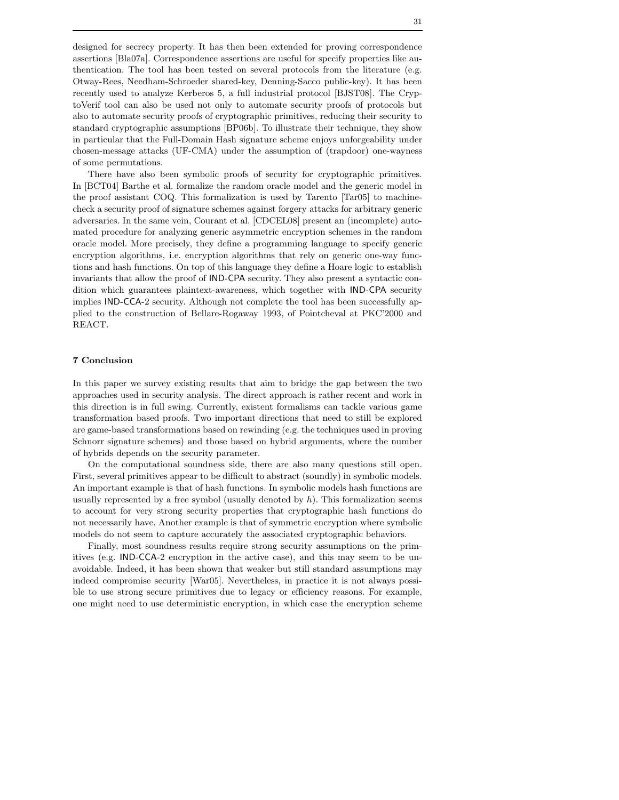designed for secrecy property. It has then been extended for proving correspondence assertions [Bla07a]. Correspondence assertions are useful for specify properties like authentication. The tool has been tested on several protocols from the literature (e.g. Otway-Rees, Needham-Schroeder shared-key, Denning-Sacco public-key). It has been recently used to analyze Kerberos 5, a full industrial protocol [BJST08]. The CryptoVerif tool can also be used not only to automate security proofs of protocols but also to automate security proofs of cryptographic primitives, reducing their security to standard cryptographic assumptions [BP06b]. To illustrate their technique, they show in particular that the Full-Domain Hash signature scheme enjoys unforgeability under chosen-message attacks (UF-CMA) under the assumption of (trapdoor) one-wayness of some permutations.

There have also been symbolic proofs of security for cryptographic primitives. In [BCT04] Barthe et al. formalize the random oracle model and the generic model in the proof assistant COQ. This formalization is used by Tarento [Tar05] to machinecheck a security proof of signature schemes against forgery attacks for arbitrary generic adversaries. In the same vein, Courant et al. [CDCEL08] present an (incomplete) automated procedure for analyzing generic asymmetric encryption schemes in the random oracle model. More precisely, they define a programming language to specify generic encryption algorithms, i.e. encryption algorithms that rely on generic one-way functions and hash functions. On top of this language they define a Hoare logic to establish invariants that allow the proof of IND-CPA security. They also present a syntactic condition which guarantees plaintext-awareness, which together with IND-CPA security implies IND-CCA-2 security. Although not complete the tool has been successfully applied to the construction of Bellare-Rogaway 1993, of Pointcheval at PKC'2000 and REACT.

# 7 Conclusion

In this paper we survey existing results that aim to bridge the gap between the two approaches used in security analysis. The direct approach is rather recent and work in this direction is in full swing. Currently, existent formalisms can tackle various game transformation based proofs. Two important directions that need to still be explored are game-based transformations based on rewinding (e.g. the techniques used in proving Schnorr signature schemes) and those based on hybrid arguments, where the number of hybrids depends on the security parameter.

On the computational soundness side, there are also many questions still open. First, several primitives appear to be difficult to abstract (soundly) in symbolic models. An important example is that of hash functions. In symbolic models hash functions are usually represented by a free symbol (usually denoted by  $h$ ). This formalization seems to account for very strong security properties that cryptographic hash functions do not necessarily have. Another example is that of symmetric encryption where symbolic models do not seem to capture accurately the associated cryptographic behaviors.

Finally, most soundness results require strong security assumptions on the primitives (e.g. IND-CCA-2 encryption in the active case), and this may seem to be unavoidable. Indeed, it has been shown that weaker but still standard assumptions may indeed compromise security [War05]. Nevertheless, in practice it is not always possible to use strong secure primitives due to legacy or efficiency reasons. For example, one might need to use deterministic encryption, in which case the encryption scheme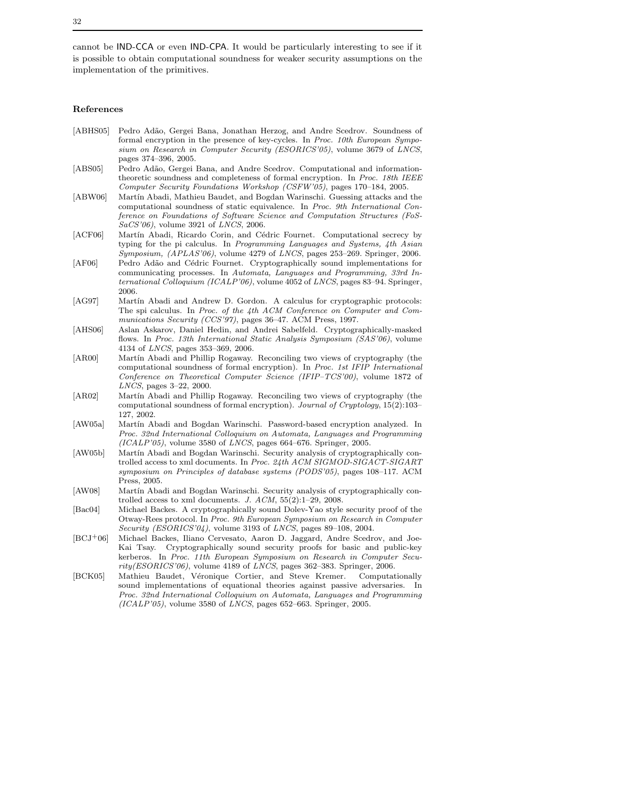cannot be IND-CCA or even IND-CPA. It would be particularly interesting to see if it is possible to obtain computational soundness for weaker security assumptions on the implementation of the primitives.

# References

- [ABHS05] Pedro Adão, Gergei Bana, Jonathan Herzog, and Andre Scedrov. Soundness of formal encryption in the presence of key-cycles. In Proc. 10th European Symposium on Research in Computer Security (ESORICS'05), volume 3679 of LNCS, pages 374–396, 2005.
- [ABS05] Pedro Adão, Gergei Bana, and Andre Scedrov. Computational and informationtheoretic soundness and completeness of formal encryption. In Proc. 18th IEEE Computer Security Foundations Workshop (CSFW'05), pages 170–184, 2005.
- [ABW06] Martín Abadi, Mathieu Baudet, and Bogdan Warinschi. Guessing attacks and the computational soundness of static equivalence. In Proc. 9th International Conference on Foundations of Software Science and Computation Structures (FoS-SaCS'06), volume 3921 of LNCS, 2006.
- [ACF06] Martín Abadi, Ricardo Corin, and Cédric Fournet. Computational secrecy by typing for the pi calculus. In Programming Languages and Systems, 4th Asian Symposium, (APLAS'06), volume 4279 of LNCS, pages 253–269. Springer, 2006.
- [AF06] Pedro Adão and Cédric Fournet. Cryptographically sound implementations for communicating processes. In Automata, Languages and Programming, 33rd International Colloquium (ICALP'06), volume 4052 of LNCS, pages 83–94. Springer, 2006.
- [AG97] Martín Abadi and Andrew D. Gordon. A calculus for cryptographic protocols: The spi calculus. In Proc. of the 4th ACM Conference on Computer and Communications Security (CCS'97), pages 36–47. ACM Press, 1997.
- [AHS06] Aslan Askarov, Daniel Hedin, and Andrei Sabelfeld. Cryptographically-masked flows. In Proc. 13th International Static Analysis Symposium (SAS'06), volume 4134 of LNCS, pages 353–369, 2006.
- [AR00] Martín Abadi and Phillip Rogaway. Reconciling two views of cryptography (the computational soundness of formal encryption). In Proc. 1st IFIP International Conference on Theoretical Computer Science (IFIP–TCS'00), volume 1872 of LNCS, pages 3–22, 2000.
- [AR02] Martín Abadi and Phillip Rogaway. Reconciling two views of cryptography (the computational soundness of formal encryption). Journal of Cryptology, 15(2):103– 127, 2002.
- [AW05a] Martín Abadi and Bogdan Warinschi. Password-based encryption analyzed. In Proc. 32nd International Colloquium on Automata, Languages and Programming  $(ICALP'05)$ , volume 3580 of  $LNCS$ , pages 664–676. Springer, 2005.
- [AW05b] Martín Abadi and Bogdan Warinschi. Security analysis of cryptographically controlled access to xml documents. In Proc. 24th ACM SIGMOD-SIGACT-SIGART symposium on Principles of database systems (PODS'05), pages 108–117. ACM Press, 2005.
- [AW08] Martín Abadi and Bogdan Warinschi. Security analysis of cryptographically controlled access to xml documents. J.  $ACM$ ,  $55(2):1-29$ , 2008.
- [Bac04] Michael Backes. A cryptographically sound Dolev-Yao style security proof of the Otway-Rees protocol. In Proc. 9th European Symposium on Research in Computer Security (ESORICS'04), volume 3193 of LNCS, pages 89–108, 2004.
- [BCJ+06] Michael Backes, Iliano Cervesato, Aaron D. Jaggard, Andre Scedrov, and Joe-Kai Tsay. Cryptographically sound security proofs for basic and public-key kerberos. In Proc. 11th European Symposium on Research in Computer Secu $rity(ESORICS'06)$ , volume 4189 of *LNCS*, pages 362-383. Springer, 2006.
- [BCK05] Mathieu Baudet, Véronique Cortier, and Steve Kremer. Computationally sound implementations of equational theories against passive adversaries. In Proc. 32nd International Colloquium on Automata, Languages and Programming  $(ICALP'05)$ , volume 3580 of  $LNCS$ , pages 652–663. Springer, 2005.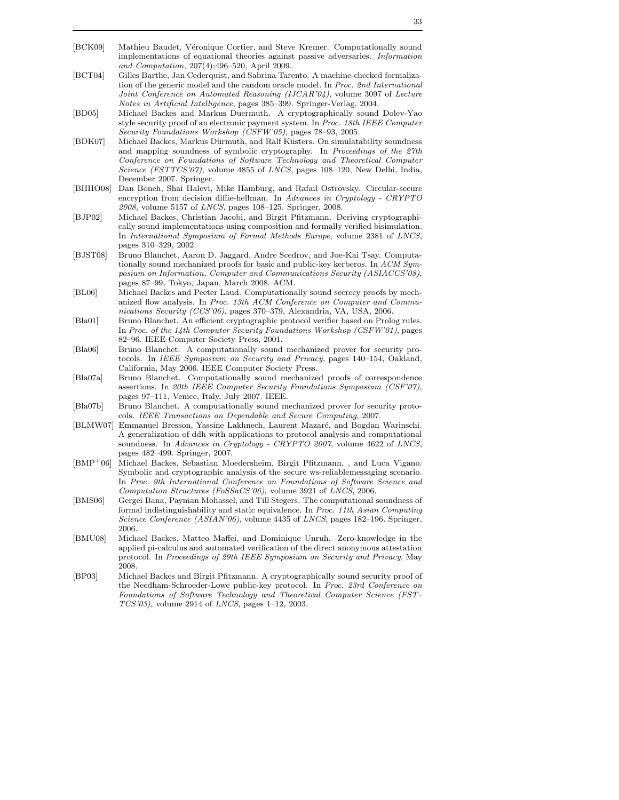- [BCK09] Mathieu Baudet, Véronique Cortier, and Steve Kremer. Computationally sound implementations of equational theories against passive adversaries. Information and Computation, 207(4):496–520, April 2009.
- [BCT04] Gilles Barthe, Jan Cederquist, and Sabrina Tarento. A machine-checked formalization of the generic model and the random oracle model. In *Proc. 2nd International* Joint Conference on Automated Reasoning (IJCAR'04), volume 3097 of Lecture Notes in Artificial Intelligence, pages 385–399. Springer-Verlag, 2004.
- [BD05] Michael Backes and Markus Duermuth. A cryptographically sound Dolev-Yao style security proof of an electronic payment system. In Proc. 18th IEEE Computer Security Foundations Workshop (CSFW'05), pages 78–93, 2005.
- [BDK07] Michael Backes, Markus Dürmuth, and Ralf Küsters. On simulatability soundness and mapping soundness of symbolic cryptography. In Proceedings of the 27th Conference on Foundations of Software Technology and Theoretical Computer Science (FSTTCS'07), volume 4855 of LNCS, pages 108–120, New Delhi, India, December 2007. Springer.
- [BHHO08] Dan Boneh, Shai Halevi, Mike Hamburg, and Rafail Ostrovsky. Circular-secure encryption from decision diffie-hellman. In Advances in Cryptology - CRYPTO 2008, volume 5157 of LNCS, pages 108–125. Springer, 2008.
- [BJP02] Michael Backes, Christian Jacobi, and Birgit Pfitzmann. Deriving cryptographically sound implementations using composition and formally verified bisimulation. In International Symposium of Formal Methods Europe, volume 2381 of LNCS, pages 310–329, 2002.
- [BJST08] Bruno Blanchet, Aaron D. Jaggard, Andre Scedrov, and Joe-Kai Tsay. Computationally sound mechanized proofs for basic and public-key kerberos. In ACM Symposium on Information, Computer and Communications Security (ASIACCS'08), pages 87–99, Tokyo, Japan, March 2008. ACM.
- [BL06] Michael Backes and Peeter Laud. Computationally sound secrecy proofs by mechanized flow analysis. In Proc. 13th ACM Conference on Computer and Communications Security (CCS'06), pages 370–379, Alexandria, VA, USA, 2006.
- [Bla01] Bruno Blanchet. An efficient cryptographic protocol verifier based on Prolog rules. In Proc. of the 14th Computer Security Foundations Workshop (CSFW'01), pages 82–96. IEEE Computer Society Press, 2001.
- [Bla06] Bruno Blanchet. A computationally sound mechanized prover for security protocols. In IEEE Symposium on Security and Privacy, pages 140–154, Oakland, California, May 2006. IEEE Computer Society Press.
- [Bla07a] Bruno Blanchet. Computationally sound mechanized proofs of correspondence assertions. In 20th IEEE Computer Security Foundations Symposium (CSF'07), pages 97–111, Venice, Italy, July 2007. IEEE.
- [Bla07b] Bruno Blanchet. A computationally sound mechanized prover for security protocols. IEEE Transactions on Dependable and Secure Computing, 2007.
- [BLMW07] Emmanuel Bresson, Yassine Lakhnech, Laurent Mazaré, and Bogdan Warinschi. A generalization of ddh with applications to protocol analysis and computational soundness. In Advances in Cryptology - CRYPTO 2007, volume 4622 of LNCS, pages 482–499. Springer, 2007.
- [BMP+06] Michael Backes, Sebastian Moedersheim, Birgit Pfitzmann, , and Luca Vigano. Symbolic and cryptographic analysis of the secure ws-reliablemessaging scenario. In Proc. 9th International Conference on Foundations of Software Science and Computation Structures (FoSSaCS'06), volume 3921 of LNCS, 2006.
- [BMS06] Gergei Bana, Payman Mohassel, and Till Stegers. The computational soundness of formal indistinguishability and static equivalence. In Proc. 11th Asian Computing Science Conference (ASIAN'06), volume 4435 of LNCS, pages 182–196. Springer, 2006.
- [BMU08] Michael Backes, Matteo Maffei, and Dominique Unruh. Zero-knowledge in the applied pi-calculus and automated verification of the direct anonymous attestation protocol. In Proceedings of 29th IEEE Symposium on Security and Privacy, May 2008.
- [BP03] Michael Backes and Birgit Pfitzmann. A cryptographically sound security proof of the Needham-Schroeder-Lowe public-key protocol. In Proc. 23rd Conference on Foundations of Software Technology and Theoretical Computer Science (FST– TCS'03), volume 2914 of LNCS, pages 1–12, 2003.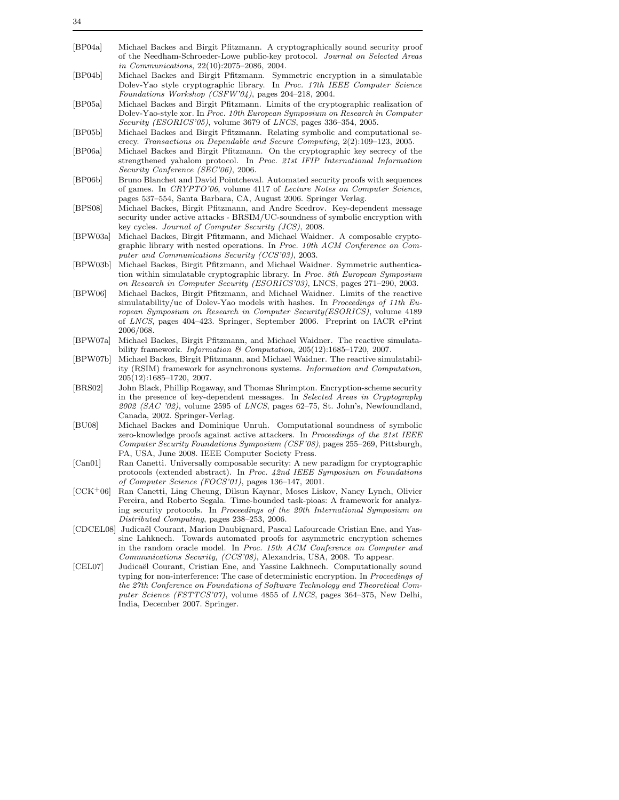- [BP04a] Michael Backes and Birgit Pfitzmann. A cryptographically sound security proof of the Needham-Schroeder-Lowe public-key protocol. Journal on Selected Areas in Communications, 22(10):2075–2086, 2004.
- [BP04b] Michael Backes and Birgit Pfitzmann. Symmetric encryption in a simulatable Dolev-Yao style cryptographic library. In Proc. 17th IEEE Computer Science Foundations Workshop (CSFW'04), pages 204–218, 2004.
- [BP05a] Michael Backes and Birgit Pfitzmann. Limits of the cryptographic realization of Dolev-Yao-style xor. In Proc. 10th European Symposium on Research in Computer Security (ESORICS'05), volume 3679 of LNCS, pages 336–354, 2005.

[BP05b] Michael Backes and Birgit Pfitzmann. Relating symbolic and computational secrecy. Transactions on Dependable and Secure Computing, 2(2):109–123, 2005.

- [BP06a] Michael Backes and Birgit Pfitzmann. On the cryptographic key secrecy of the strengthened yahalom protocol. In Proc. 21st IFIP International Information Security Conference (SEC'06), 2006.
- [BP06b] Bruno Blanchet and David Pointcheval. Automated security proofs with sequences of games. In CRYPTO'06, volume 4117 of Lecture Notes on Computer Science, pages 537–554, Santa Barbara, CA, August 2006. Springer Verlag.
- [BPS08] Michael Backes, Birgit Pfitzmann, and Andre Scedrov. Key-dependent message security under active attacks - BRSIM/UC-soundness of symbolic encryption with key cycles. Journal of Computer Security (JCS), 2008.
- [BPW03a] Michael Backes, Birgit Pfitzmann, and Michael Waidner. A composable cryptographic library with nested operations. In Proc. 10th ACM Conference on Computer and Communications Security (CCS'03), 2003.
- [BPW03b] Michael Backes, Birgit Pfitzmann, and Michael Waidner. Symmetric authentication within simulatable cryptographic library. In Proc. 8th European Symposium on Research in Computer Security (ESORICS'03), LNCS, pages 271–290, 2003.
- [BPW06] Michael Backes, Birgit Pfitzmann, and Michael Waidner. Limits of the reactive simulatability/uc of Dolev-Yao models with hashes. In Proceedings of 11th European Symposium on Research in Computer Security(ESORICS), volume 4189 of LNCS, pages 404–423. Springer, September 2006. Preprint on IACR ePrint 2006/068.
- [BPW07a] Michael Backes, Birgit Pfitzmann, and Michael Waidner. The reactive simulatability framework. Information  $\mathcal C$  Computation, 205(12):1685-1720, 2007.
- [BPW07b] Michael Backes, Birgit Pfitzmann, and Michael Waidner. The reactive simulatability (RSIM) framework for asynchronous systems. Information and Computation, 205(12):1685–1720, 2007.
- [BRS02] John Black, Phillip Rogaway, and Thomas Shrimpton. Encryption-scheme security in the presence of key-dependent messages. In Selected Areas in Cryptography  $2002$  (SAC '02), volume 2595 of LNCS, pages 62-75, St. John's, Newfoundland, Canada, 2002. Springer-Verlag.
- [BU08] Michael Backes and Dominique Unruh. Computational soundness of symbolic zero-knowledge proofs against active attackers. In Proceedings of the 21st IEEE Computer Security Foundations Symposium (CSF'08), pages 255–269, Pittsburgh, PA, USA, June 2008. IEEE Computer Society Press.
- [Can01] Ran Canetti. Universally composable security: A new paradigm for cryptographic protocols (extended abstract). In Proc. 42nd IEEE Symposium on Foundations of Computer Science (FOCS'01), pages 136–147, 2001.
- [CCK+06] Ran Canetti, Ling Cheung, Dilsun Kaynar, Moses Liskov, Nancy Lynch, Olivier Pereira, and Roberto Segala. Time-bounded task-pioas: A framework for analyzing security protocols. In Proceedings of the 20th International Symposium on Distributed Computing, pages 238–253, 2006.
- [CDCEL08] Judicaël Courant, Marion Daubignard, Pascal Lafourcade Cristian Ene, and Yassine Lahknech. Towards automated proofs for asymmetric encryption schemes in the random oracle model. In Proc. 15th ACM Conference on Computer and Communications Security, (CCS'08), Alexandria, USA, 2008. To appear.
- [CEL07] Judicaël Courant, Cristian Ene, and Yassine Lakhnech. Computationally sound typing for non-interference: The case of deterministic encryption. In *Proceedings of* the 27th Conference on Foundations of Software Technology and Theoretical Computer Science (FSTTCS'07), volume 4855 of LNCS, pages 364-375, New Delhi, India, December 2007. Springer.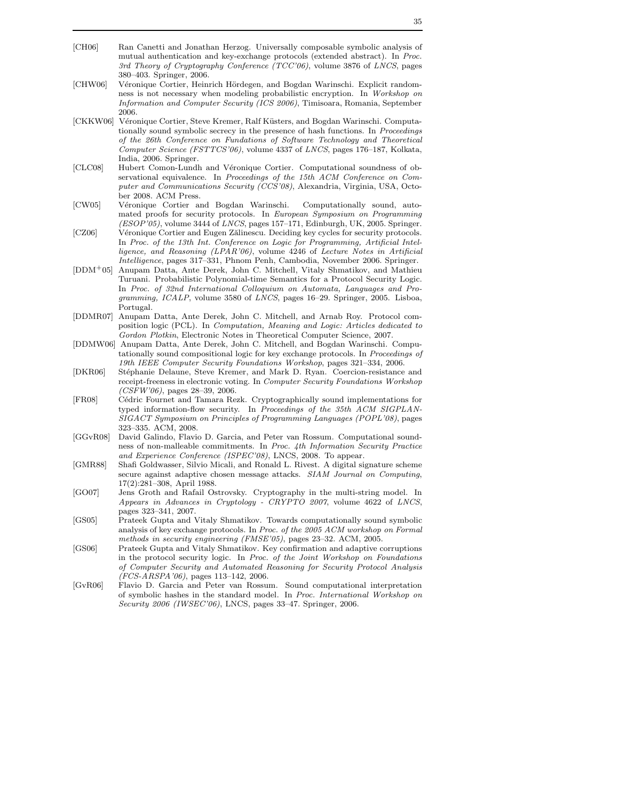- [CH06] Ran Canetti and Jonathan Herzog. Universally composable symbolic analysis of mutual authentication and key-exchange protocols (extended abstract). In Proc. 3rd Theory of Cryptography Conference (TCC'06), volume 3876 of LNCS, pages 380–403. Springer, 2006.
- [CHW06] Véronique Cortier, Heinrich Hördegen, and Bogdan Warinschi. Explicit randomness is not necessary when modeling probabilistic encryption. In Workshop on Information and Computer Security (ICS 2006), Timisoara, Romania, September 2006.
- [CKKW06] Véronique Cortier, Steve Kremer, Ralf Küsters, and Bogdan Warinschi. Computationally sound symbolic secrecy in the presence of hash functions. In Proceedings of the 26th Conference on Fundations of Software Technology and Theoretical Computer Science (FSTTCS'06), volume 4337 of LNCS, pages 176–187, Kolkata, India, 2006. Springer.
- [CLC08] Hubert Comon-Lundh and Véronique Cortier. Computational soundness of observational equivalence. In Proceedings of the 15th ACM Conference on Computer and Communications Security (CCS'08), Alexandria, Virginia, USA, October 2008. ACM Press.
- [CW05] Véronique Cortier and Bogdan Warinschi. Computationally sound, automated proofs for security protocols. In European Symposium on Programming  $(ESOP'05)$ , volume 3444 of  $LNCS$ , pages 157–171, Edinburgh, UK, 2005. Springer.
- [CZ06] Véronique Cortier and Eugen Zălinescu. Deciding key cycles for security protocols. In Proc. of the 13th Int. Conference on Logic for Programming, Artificial Intelligence, and Reasoning (LPAR'06), volume 4246 of Lecture Notes in Artificial Intelligence, pages 317–331, Phnom Penh, Cambodia, November 2006. Springer.
- [DDM+05] Anupam Datta, Ante Derek, John C. Mitchell, Vitaly Shmatikov, and Mathieu Turuani. Probabilistic Polynomial-time Semantics for a Protocol Security Logic. In Proc. of 32nd International Colloquium on Automata, Languages and Programming, ICALP, volume 3580 of LNCS, pages 16–29. Springer, 2005. Lisboa, Portugal.
- [DDMR07] Anupam Datta, Ante Derek, John C. Mitchell, and Arnab Roy. Protocol composition logic (PCL). In Computation, Meaning and Logic: Articles dedicated to Gordon Plotkin, Electronic Notes in Theoretical Computer Science, 2007.
- [DDMW06] Anupam Datta, Ante Derek, John C. Mitchell, and Bogdan Warinschi. Computationally sound compositional logic for key exchange protocols. In Proceedings of 19th IEEE Computer Security Foundations Workshop, pages 321–334, 2006.
- [DKR06] Stéphanie Delaune, Steve Kremer, and Mark D. Ryan. Coercion-resistance and receipt-freeness in electronic voting. In Computer Security Foundations Workshop  $(CSFW'06)$ , pages 28-39, 2006.
- [FR08] C´edric Fournet and Tamara Rezk. Cryptographically sound implementations for typed information-flow security. In Proceedings of the 35th ACM SIGPLAN-SIGACT Symposium on Principles of Programming Languages (POPL'08), pages 323–335. ACM, 2008.
- [GGvR08] David Galindo, Flavio D. Garcia, and Peter van Rossum. Computational soundness of non-malleable commitments. In Proc. 4th Information Security Practice and Experience Conference (ISPEC'08), LNCS, 2008. To appear.
- [GMR88] Shafi Goldwasser, Silvio Micali, and Ronald L. Rivest. A digital signature scheme secure against adaptive chosen message attacks. SIAM Journal on Computing, 17(2):281–308, April 1988.
- [GO07] Jens Groth and Rafail Ostrovsky. Cryptography in the multi-string model. In Appears in Advances in Cryptology - CRYPTO 2007, volume 4622 of LNCS, pages 323–341, 2007.
- [GS05] Prateek Gupta and Vitaly Shmatikov. Towards computationally sound symbolic analysis of key exchange protocols. In Proc. of the 2005 ACM workshop on Formal methods in security engineering (FMSE'05), pages 23–32. ACM, 2005.
- [GS06] Prateek Gupta and Vitaly Shmatikov. Key confirmation and adaptive corruptions in the protocol security logic. In Proc. of the Joint Workshop on Foundations of Computer Security and Automated Reasoning for Security Protocol Analysis  $(FCS-ARSPA'06)$ , pages 113-142, 2006.
- [GvR06] Flavio D. Garcia and Peter van Rossum. Sound computational interpretation of symbolic hashes in the standard model. In Proc. International Workshop on Security 2006 (IWSEC'06), LNCS, pages 33–47. Springer, 2006.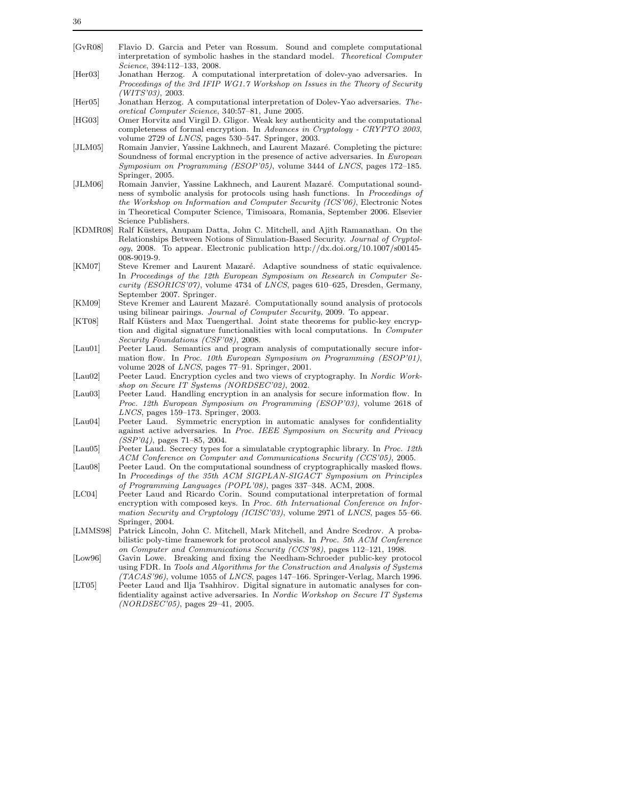- [GvR08] Flavio D. Garcia and Peter van Rossum. Sound and complete computational interpretation of symbolic hashes in the standard model. Theoretical Computer Science, 394:112–133, 2008.
- [Her03] Jonathan Herzog. A computational interpretation of dolev-yao adversaries. In Proceedings of the 3rd IFIP WG1.7 Workshop on Issues in the Theory of Security (WITS'03), 2003.
- [Her05] Jonathan Herzog. A computational interpretation of Dolev-Yao adversaries. Theoretical Computer Science, 340:57–81, June 2005.
- [HG03] Omer Horvitz and Virgil D. Gligor. Weak key authenticity and the computational completeness of formal encryption. In Advances in Cryptology - CRYPTO 2003, volume 2729 of LNCS, pages 530–547. Springer, 2003.
- [JLM05] Romain Janvier, Yassine Lakhnech, and Laurent Mazaré. Completing the picture: Soundness of formal encryption in the presence of active adversaries. In European Symposium on Programming (ESOP'05), volume 3444 of LNCS, pages 172–185. Springer, 2005.
- [JLM06] Romain Janvier, Yassine Lakhnech, and Laurent Mazaré. Computational soundness of symbolic analysis for protocols using hash functions. In Proceedings of the Workshop on Information and Computer Security (ICS'06), Electronic Notes in Theoretical Computer Science, Timisoara, Romania, September 2006. Elsevier Science Publishers.
- [KDMR08] Ralf Küsters, Anupam Datta, John C. Mitchell, and Ajith Ramanathan. On the Relationships Between Notions of Simulation-Based Security. Journal of Cryptology, 2008. To appear. Electronic publication http://dx.doi.org/10.1007/s00145- 008-9019-9.
- [KM07] Steve Kremer and Laurent Mazaré. Adaptive soundness of static equivalence. In Proceedings of the 12th European Symposium on Research in Computer Security (ESORICS'07), volume 4734 of LNCS, pages 610–625, Dresden, Germany, September 2007. Springer.
- [KM09] Steve Kremer and Laurent Mazaré. Computationally sound analysis of protocols using bilinear pairings. Journal of Computer Security, 2009. To appear.
- [KT08] Ralf Küsters and Max Tuengerthal. Joint state theorems for public-key encryption and digital signature functionalities with local computations. In Computer Security Foundations (CSF'08), 2008.
- [Lau01] Peeter Laud. Semantics and program analysis of computationally secure information flow. In Proc. 10th European Symposium on Programming (ESOP'01), volume 2028 of LNCS, pages 77–91. Springer, 2001.
- [Lau02] Peeter Laud. Encryption cycles and two views of cryptography. In Nordic Workshop on Secure IT Systems (NORDSEC'02), 2002.
- [Lau03] Peeter Laud. Handling encryption in an analysis for secure information flow. In Proc. 12th European Symposium on Programming (ESOP'03), volume 2618 of LNCS, pages 159–173. Springer, 2003.
- [Lau04] Peeter Laud. Symmetric encryption in automatic analyses for confidentiality against active adversaries. In Proc. IEEE Symposium on Security and Privacy (SSP'04), pages 71–85, 2004.
- [Lau05] Peeter Laud. Secrecy types for a simulatable cryptographic library. In Proc. 12th ACM Conference on Computer and Communications Security (CCS'05), 2005.
- [Lau08] Peeter Laud. On the computational soundness of cryptographically masked flows. In Proceedings of the 35th ACM SIGPLAN-SIGACT Symposium on Principles of Programming Languages (POPL'08), pages 337–348. ACM, 2008.
- [LC04] Peeter Laud and Ricardo Corin. Sound computational interpretation of formal encryption with composed keys. In Proc. 6th International Conference on Information Security and Cryptology (ICISC'03), volume 2971 of LNCS, pages 55–66. Springer, 2004.
- [LMMS98] Patrick Lincoln, John C. Mitchell, Mark Mitchell, and Andre Scedrov. A probabilistic poly-time framework for protocol analysis. In Proc. 5th ACM Conference on Computer and Communications Security (CCS'98), pages 112–121, 1998.
- [Low96] Gavin Lowe. Breaking and fixing the Needham-Schroeder public-key protocol using FDR. In Tools and Algorithms for the Construction and Analysis of Systems  $(TACAS'96),$  volume 1055 of  $LNCS,$  pages 147–166. Springer-Verlag, March 1996.
- [LT05] Peeter Laud and Ilja Tsahhirov. Digital signature in automatic analyses for confidentiality against active adversaries. In Nordic Workshop on Secure IT Systems (NORDSEC'05), pages 29–41, 2005.